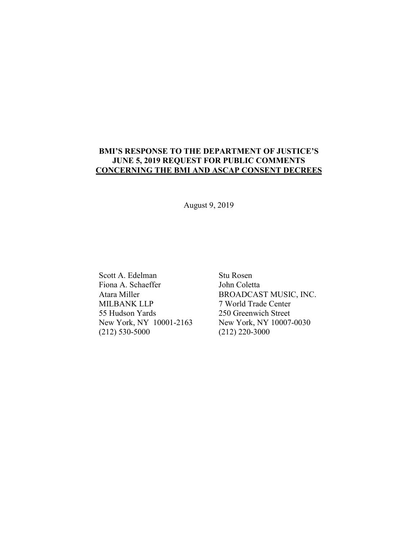# **BMI'S RESPONSE TO THE DEPARTMENT OF JUSTICE'S JUNE 5, 2019 REQUEST FOR PUBLIC COMMENTS CONCERNING THE BMI AND ASCAP CONSENT DECREES**

August 9, 2019

Scott A. Edelman Fiona A. Schaeffer Atara Miller MILBANK LLP 55 Hudson Yards New York, NY 10001-2163 (212) 530-5000

Stu Rosen John Coletta BROADCAST MUSIC, INC. 7 World Trade Center 250 Greenwich Street New York, NY 10007-0030 (212) 220-3000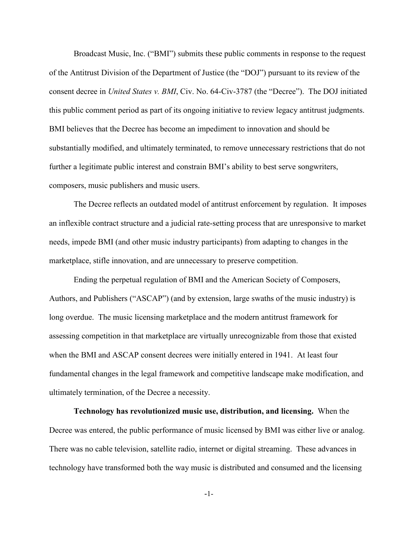Broadcast Music, Inc. ("BMI") submits these public comments in response to the request of the Antitrust Division of the Department of Justice (the "DOJ") pursuant to its review of the consent decree in *United States v. BMI*, Civ. No. 64-Civ-3787 (the "Decree"). The DOJ initiated this public comment period as part of its ongoing initiative to review legacy antitrust judgments. BMI believes that the Decree has become an impediment to innovation and should be substantially modified, and ultimately terminated, to remove unnecessary restrictions that do not further a legitimate public interest and constrain BMI's ability to best serve songwriters, composers, music publishers and music users.

The Decree reflects an outdated model of antitrust enforcement by regulation. It imposes an inflexible contract structure and a judicial rate-setting process that are unresponsive to market needs, impede BMI (and other music industry participants) from adapting to changes in the marketplace, stifle innovation, and are unnecessary to preserve competition.

Ending the perpetual regulation of BMI and the American Society of Composers, Authors, and Publishers ("ASCAP") (and by extension, large swaths of the music industry) is long overdue. The music licensing marketplace and the modern antitrust framework for assessing competition in that marketplace are virtually unrecognizable from those that existed when the BMI and ASCAP consent decrees were initially entered in 1941. At least four fundamental changes in the legal framework and competitive landscape make modification, and ultimately termination, of the Decree a necessity.

**Technology has revolutionized music use, distribution, and licensing.** When the Decree was entered, the public performance of music licensed by BMI was either live or analog. There was no cable television, satellite radio, internet or digital streaming. These advances in technology have transformed both the way music is distributed and consumed and the licensing

-1-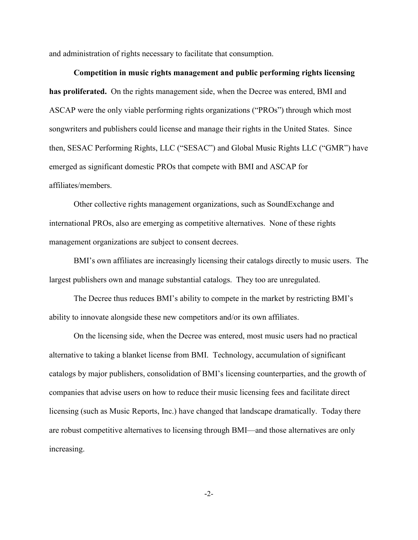and administration of rights necessary to facilitate that consumption.

**Competition in music rights management and public performing rights licensing has proliferated.** On the rights management side, when the Decree was entered, BMI and ASCAP were the only viable performing rights organizations ("PROs") through which most songwriters and publishers could license and manage their rights in the United States. Since then, SESAC Performing Rights, LLC ("SESAC") and Global Music Rights LLC ("GMR") have emerged as significant domestic PROs that compete with BMI and ASCAP for affiliates/members.

Other collective rights management organizations, such as SoundExchange and international PROs, also are emerging as competitive alternatives. None of these rights management organizations are subject to consent decrees.

BMI's own affiliates are increasingly licensing their catalogs directly to music users. The largest publishers own and manage substantial catalogs. They too are unregulated.

The Decree thus reduces BMI's ability to compete in the market by restricting BMI's ability to innovate alongside these new competitors and/or its own affiliates.

On the licensing side, when the Decree was entered, most music users had no practical alternative to taking a blanket license from BMI. Technology, accumulation of significant catalogs by major publishers, consolidation of BMI's licensing counterparties, and the growth of companies that advise users on how to reduce their music licensing fees and facilitate direct licensing (such as Music Reports, Inc.) have changed that landscape dramatically. Today there are robust competitive alternatives to licensing through BMI—and those alternatives are only increasing.

-2-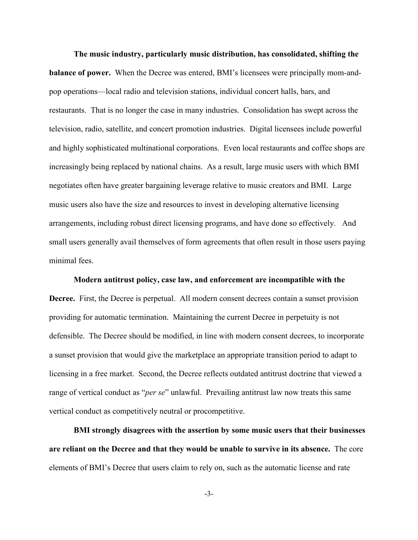**The music industry, particularly music distribution, has consolidated, shifting the balance of power.** When the Decree was entered, BMI's licensees were principally mom-andpop operations—local radio and television stations, individual concert halls, bars, and restaurants. That is no longer the case in many industries. Consolidation has swept across the television, radio, satellite, and concert promotion industries. Digital licensees include powerful and highly sophisticated multinational corporations. Even local restaurants and coffee shops are increasingly being replaced by national chains. As a result, large music users with which BMI negotiates often have greater bargaining leverage relative to music creators and BMI. Large music users also have the size and resources to invest in developing alternative licensing arrangements, including robust direct licensing programs, and have done so effectively. And small users generally avail themselves of form agreements that often result in those users paying minimal fees.

### **Modern antitrust policy, case law, and enforcement are incompatible with the**

**Decree.** First, the Decree is perpetual. All modern consent decrees contain a sunset provision providing for automatic termination. Maintaining the current Decree in perpetuity is not defensible. The Decree should be modified, in line with modern consent decrees, to incorporate a sunset provision that would give the marketplace an appropriate transition period to adapt to licensing in a free market. Second, the Decree reflects outdated antitrust doctrine that viewed a range of vertical conduct as "*per se*" unlawful. Prevailing antitrust law now treats this same vertical conduct as competitively neutral or procompetitive.

**BMI strongly disagrees with the assertion by some music users that their businesses are reliant on the Decree and that they would be unable to survive in its absence.** The core elements of BMI's Decree that users claim to rely on, such as the automatic license and rate

-3-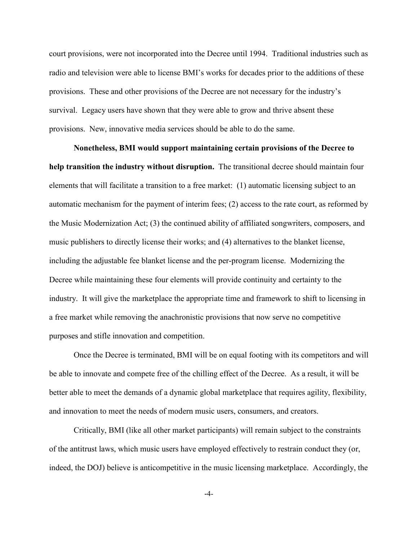court provisions, were not incorporated into the Decree until 1994. Traditional industries such as radio and television were able to license BMI's works for decades prior to the additions of these provisions. These and other provisions of the Decree are not necessary for the industry's survival. Legacy users have shown that they were able to grow and thrive absent these provisions. New, innovative media services should be able to do the same.

**Nonetheless, BMI would support maintaining certain provisions of the Decree to help transition the industry without disruption.** The transitional decree should maintain four elements that will facilitate a transition to a free market: (1) automatic licensing subject to an automatic mechanism for the payment of interim fees; (2) access to the rate court, as reformed by the Music Modernization Act; (3) the continued ability of affiliated songwriters, composers, and music publishers to directly license their works; and (4) alternatives to the blanket license, including the adjustable fee blanket license and the per-program license. Modernizing the Decree while maintaining these four elements will provide continuity and certainty to the industry. It will give the marketplace the appropriate time and framework to shift to licensing in a free market while removing the anachronistic provisions that now serve no competitive purposes and stifle innovation and competition.

Once the Decree is terminated, BMI will be on equal footing with its competitors and will be able to innovate and compete free of the chilling effect of the Decree. As a result, it will be better able to meet the demands of a dynamic global marketplace that requires agility, flexibility, and innovation to meet the needs of modern music users, consumers, and creators.

Critically, BMI (like all other market participants) will remain subject to the constraints of the antitrust laws, which music users have employed effectively to restrain conduct they (or, indeed, the DOJ) believe is anticompetitive in the music licensing marketplace. Accordingly, the

-4-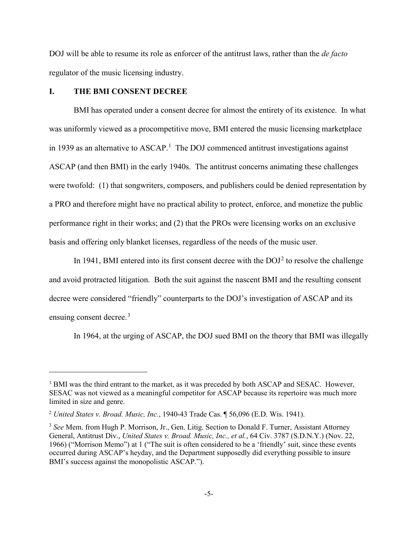DOJ will be able to resume its role as enforcer of the antitrust laws, rather than the *de facto* regulator of the music licensing industry.

# **I. THE BMI CONSENT DECREE**

 $\overline{a}$ 

BMI has operated under a consent decree for almost the entirety of its existence. In what was uniformly viewed as a procompetitive move, BMI entered the music licensing marketplace in [1](#page-5-0)939 as an alternative to  $ASCAP<sup>1</sup>$ . The DOJ commenced antitrust investigations against ASCAP (and then BMI) in the early 1940s. The antitrust concerns animating these challenges were twofold: (1) that songwriters, composers, and publishers could be denied representation by a PRO and therefore might have no practical ability to protect, enforce, and monetize the public performance right in their works; and (2) that the PROs were licensing works on an exclusive basis and offering only blanket licenses, regardless of the needs of the music user.

In 1941, BMI entered into its first consent decree with the  $DOJ<sup>2</sup>$  $DOJ<sup>2</sup>$  $DOJ<sup>2</sup>$  to resolve the challenge and avoid protracted litigation. Both the suit against the nascent BMI and the resulting consent decree were considered "friendly" counterparts to the DOJ's investigation of ASCAP and its ensuing consent decree.<sup>[3](#page-5-2)</sup>

In 1964, at the urging of ASCAP, the DOJ sued BMI on the theory that BMI was illegally

<span id="page-5-0"></span><sup>&</sup>lt;sup>1</sup> BMI was the third entrant to the market, as it was preceded by both ASCAP and SESAC. However, SESAC was not viewed as a meaningful competitor for ASCAP because its repertoire was much more limited in size and genre.

<span id="page-5-1"></span><sup>2</sup> *United States v. Broad. Music, Inc.*, 1940-43 Trade Cas. ¶ 56,096 (E.D. Wis. 1941).

<span id="page-5-2"></span><sup>&</sup>lt;sup>3</sup> See Mem. from Hugh P. Morrison, Jr., Gen. Litig. Section to Donald F. Turner, Assistant Attorney General, Antitrust Div., *United States v. Broad. Music, Inc., et al.*, 64 Civ. 3787 (S.D.N.Y.) (Nov. 22, 1966) ("Morrison Memo") at 1 ("The suit is often considered to be a 'friendly' suit, since these events occurred during ASCAP's heyday, and the Department supposedly did everything possible to insure BMI's success against the monopolistic ASCAP.").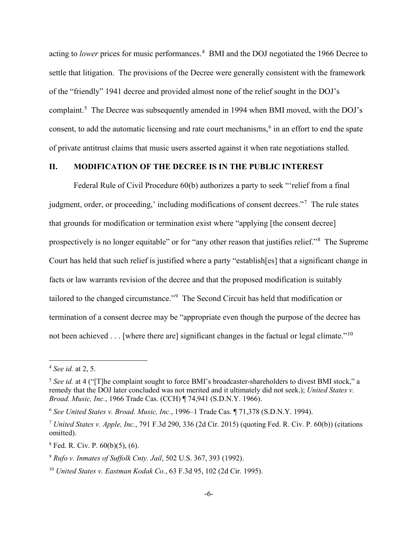acting to *lower* prices for music performances.<sup>[4](#page-6-0)</sup> BMI and the DOJ negotiated the 1966 Decree to settle that litigation. The provisions of the Decree were generally consistent with the framework of the "friendly" 1941 decree and provided almost none of the relief sought in the DOJ's complaint.<sup>[5](#page-6-1)</sup> The Decree was subsequently amended in 1994 when BMI moved, with the DOJ's consent, to add the automatic licensing and rate court mechanisms, [6](#page-6-2) in an effort to end the spate of private antitrust claims that music users asserted against it when rate negotiations stalled.

# **II. MODIFICATION OF THE DECREE IS IN THE PUBLIC INTEREST**

Federal Rule of Civil Procedure 60(b) authorizes a party to seek "'relief from a final judgment, order, or proceeding,' including modifications of consent decrees."<sup>[7](#page-6-3)</sup> The rule states that grounds for modification or termination exist where "applying [the consent decree] prospectively is no longer equitable" or for "any other reason that justifies relief."<sup>[8](#page-6-4)</sup> The Supreme Court has held that such relief is justified where a party "establish[es] that a significant change in facts or law warrants revision of the decree and that the proposed modification is suitably tailored to the changed circumstance."[9](#page-6-5) The Second Circuit has held that modification or termination of a consent decree may be "appropriate even though the purpose of the decree has not been achieved . . . [where there are] significant changes in the factual or legal climate."<sup>[10](#page-6-6)</sup>

<span id="page-6-0"></span><sup>4</sup> *See id.* at 2, 5.

<span id="page-6-1"></span><sup>&</sup>lt;sup>5</sup> See id. at 4 ("[T]he complaint sought to force BMI's broadcaster-shareholders to divest BMI stock," a remedy that the DOJ later concluded was not merited and it ultimately did not seek.); *United States v. Broad. Music, Inc.*, 1966 Trade Cas. (CCH) ¶ 74,941 (S.D.N.Y. 1966).

<span id="page-6-2"></span><sup>6</sup> *See United States v. Broad. Music, Inc.*, 1996–1 Trade Cas. ¶ 71,378 (S.D.N.Y. 1994).

<span id="page-6-3"></span><sup>7</sup> *United States v. Apple, Inc.*, 791 F.3d 290, 336 (2d Cir. 2015) (quoting Fed. R. Civ. P. 60(b)) (citations omitted).

<span id="page-6-4"></span><sup>8</sup> Fed. R. Civ. P. 60(b)(5), (6).

<span id="page-6-5"></span><sup>9</sup> *Rufo v. Inmates of Suffolk Cnty. Jail*, 502 U.S. 367, 393 (1992).

<span id="page-6-6"></span><sup>10</sup> *United States v. Eastman Kodak Co.*, 63 F.3d 95, 102 (2d Cir. 1995).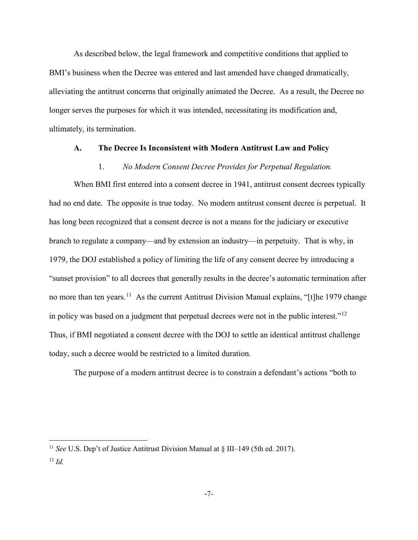As described below, the legal framework and competitive conditions that applied to BMI's business when the Decree was entered and last amended have changed dramatically, alleviating the antitrust concerns that originally animated the Decree. As a result, the Decree no longer serves the purposes for which it was intended, necessitating its modification and, ultimately, its termination.

# **A. The Decree Is Inconsistent with Modern Antitrust Law and Policy**

# 1. *No Modern Consent Decree Provides for Perpetual Regulation.*

When BMI first entered into a consent decree in 1941, antitrust consent decrees typically had no end date. The opposite is true today. No modern antitrust consent decree is perpetual. It has long been recognized that a consent decree is not a means for the judiciary or executive branch to regulate a company—and by extension an industry—in perpetuity. That is why, in 1979, the DOJ established a policy of limiting the life of any consent decree by introducing a "sunset provision" to all decrees that generally results in the decree's automatic termination after no more than ten years.<sup>11</sup> As the current Antitrust Division Manual explains, "[t]he 1979 change in policy was based on a judgment that perpetual decrees were not in the public interest."[12](#page-7-1)  Thus, if BMI negotiated a consent decree with the DOJ to settle an identical antitrust challenge today, such a decree would be restricted to a limited duration.

The purpose of a modern antitrust decree is to constrain a defendant's actions "both to

<span id="page-7-1"></span><span id="page-7-0"></span><sup>&</sup>lt;sup>11</sup> *See* U.S. Dep't of Justice Antitrust Division Manual at § III–149 (5th ed. 2017). <sup>12</sup> *Id.*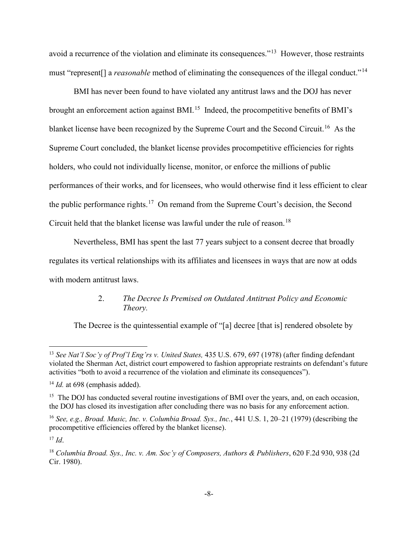avoid a recurrence of the violation and eliminate its consequences."[13](#page-8-0) However, those restraints must "represent[] a *reasonable* method of eliminating the consequences of the illegal conduct."[14](#page-8-1)

BMI has never been found to have violated any antitrust laws and the DOJ has never brought an enforcement action against BMI.<sup>[15](#page-8-2)</sup> Indeed, the procompetitive benefits of BMI's blanket license have been recognized by the Supreme Court and the Second Circuit.<sup>16</sup> As the Supreme Court concluded, the blanket license provides procompetitive efficiencies for rights holders, who could not individually license, monitor, or enforce the millions of public performances of their works, and for licensees, who would otherwise find it less efficient to clear the public performance rights.<sup>[17](#page-8-4)</sup> On remand from the Supreme Court's decision, the Second Circuit held that the blanket license was lawful under the rule of reason.<sup>[18](#page-8-5)</sup>

Nevertheless, BMI has spent the last 77 years subject to a consent decree that broadly regulates its vertical relationships with its affiliates and licensees in ways that are now at odds with modern antitrust laws.

# 2. *The Decree Is Premised on Outdated Antitrust Policy and Economic Theory.*

The Decree is the quintessential example of "[a] decree [that is] rendered obsolete by

<span id="page-8-0"></span><sup>&</sup>lt;sup>13</sup> See Nat'l Soc'y of Prof'l Eng'rs v. United States, 435 U.S. 679, 697 (1978) (after finding defendant violated the Sherman Act, district court empowered to fashion appropriate restraints on defendant's future activities "both to avoid a recurrence of the violation and eliminate its consequences").

<span id="page-8-1"></span><sup>&</sup>lt;sup>14</sup> *Id.* at 698 (emphasis added).

<span id="page-8-2"></span><sup>&</sup>lt;sup>15</sup> The DOJ has conducted several routine investigations of BMI over the years, and, on each occasion, the DOJ has closed its investigation after concluding there was no basis for any enforcement action.

<span id="page-8-3"></span><sup>16</sup> *See, e.g., Broad. Music, Inc. v. Columbia Broad. Sys., Inc.*, 441 U.S. 1, 20–21 (1979) (describing the procompetitive efficiencies offered by the blanket license).

<span id="page-8-4"></span> $17$  *Id.* 

<span id="page-8-5"></span><sup>18</sup> *Columbia Broad. Sys., Inc. v. Am. Soc'y of Composers, Authors & Publishers*, 620 F.2d 930, 938 (2d Cir. 1980).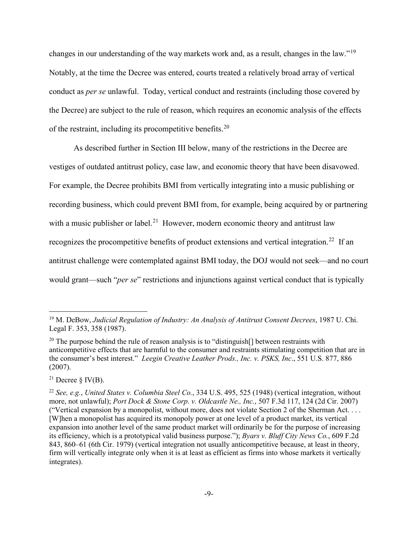changes in our understanding of the way markets work and, as a result, changes in the law."[19](#page-9-0)  Notably, at the time the Decree was entered, courts treated a relatively broad array of vertical conduct as *per se* unlawful. Today, vertical conduct and restraints (including those covered by the Decree) are subject to the rule of reason, which requires an economic analysis of the effects of the restraint, including its procompetitive benefits.<sup>[20](#page-9-1)</sup>

As described further in Section III below, many of the restrictions in the Decree are vestiges of outdated antitrust policy, case law, and economic theory that have been disavowed. For example, the Decree prohibits BMI from vertically integrating into a music publishing or recording business, which could prevent BMI from, for example, being acquired by or partnering with a music publisher or label.<sup>[21](#page-9-2)</sup> However, modern economic theory and antitrust law recognizes the procompetitive benefits of product extensions and vertical integration.<sup>22</sup> If an antitrust challenge were contemplated against BMI today, the DOJ would not seek—and no court would grant—such "*per se*" restrictions and injunctions against vertical conduct that is typically

<span id="page-9-2"></span><sup>21</sup> Decree  $\delta$  IV(B).

<span id="page-9-0"></span><sup>19</sup> M. DeBow, *Judicial Regulation of Industry: An Analysis of Antitrust Consent Decrees*, 1987 U. Chi. Legal F. 353, 358 (1987).

<span id="page-9-1"></span><sup>&</sup>lt;sup>20</sup> The purpose behind the rule of reason analysis is to "distinguish<sup>[]</sup> between restraints with anticompetitive effects that are harmful to the consumer and restraints stimulating competition that are in the consumer's best interest." *Leegin Creative Leather Prods., Inc. v. PSKS, Inc*., 551 U.S. 877, 886 (2007).

<span id="page-9-3"></span><sup>22</sup> *See, e.g.*, *United States v. Columbia Steel Co.*, 334 U.S. 495, 525 (1948) (vertical integration, without more, not unlawful); *Port Dock & Stone Corp. v. Oldcastle Ne., Inc.*, 507 F.3d 117, 124 (2d Cir. 2007) ("Vertical expansion by a monopolist, without more, does not violate Section 2 of the Sherman Act. . . . [W]hen a monopolist has acquired its monopoly power at one level of a product market, its vertical expansion into another level of the same product market will ordinarily be for the purpose of increasing its efficiency, which is a prototypical valid business purpose."); *Byars v. Bluff City News Co.*, 609 F.2d 843, 860–61 (6th Cir. 1979) (vertical integration not usually anticompetitive because, at least in theory, firm will vertically integrate only when it is at least as efficient as firms into whose markets it vertically integrates).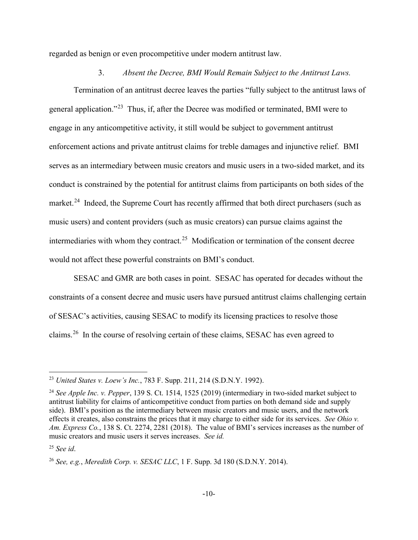regarded as benign or even procompetitive under modern antitrust law.

# 3. *Absent the Decree, BMI Would Remain Subject to the Antitrust Laws.*

Termination of an antitrust decree leaves the parties "fully subject to the antitrust laws of general application."[23](#page-10-0) Thus, if, after the Decree was modified or terminated, BMI were to engage in any anticompetitive activity, it still would be subject to government antitrust enforcement actions and private antitrust claims for treble damages and injunctive relief. BMI serves as an intermediary between music creators and music users in a two-sided market, and its conduct is constrained by the potential for antitrust claims from participants on both sides of the market.<sup>[24](#page-10-1)</sup> Indeed, the Supreme Court has recently affirmed that both direct purchasers (such as music users) and content providers (such as music creators) can pursue claims against the intermediaries with whom they contract. [25](#page-10-2) Modification or termination of the consent decree would not affect these powerful constraints on BMI's conduct.

SESAC and GMR are both cases in point. SESAC has operated for decades without the constraints of a consent decree and music users have pursued antitrust claims challenging certain of SESAC's activities, causing SESAC to modify its licensing practices to resolve those claims. [26](#page-10-3)In the course of resolving certain of these claims, SESAC has even agreed to

<span id="page-10-0"></span><sup>23</sup> *United States v. Loew's Inc.*, 783 F. Supp. 211, 214 (S.D.N.Y. 1992).

<span id="page-10-1"></span><sup>24</sup> *See Apple Inc. v. Pepper*, 139 S. Ct. 1514, 1525 (2019) (intermediary in two-sided market subject to antitrust liability for claims of anticompetitive conduct from parties on both demand side and supply side). BMI's position as the intermediary between music creators and music users, and the network effects it creates, also constrains the prices that it may charge to either side for its services. *See Ohio v. Am. Express Co.*, 138 S. Ct. 2274, 2281 (2018). The value of BMI's services increases as the number of music creators and music users it serves increases. *See id.*

<span id="page-10-2"></span><sup>25</sup> *See id*.

<span id="page-10-3"></span><sup>26</sup> *See, e.g.*, *Meredith Corp. v. SESAC LLC*, 1 F. Supp. 3d 180 (S.D.N.Y. 2014).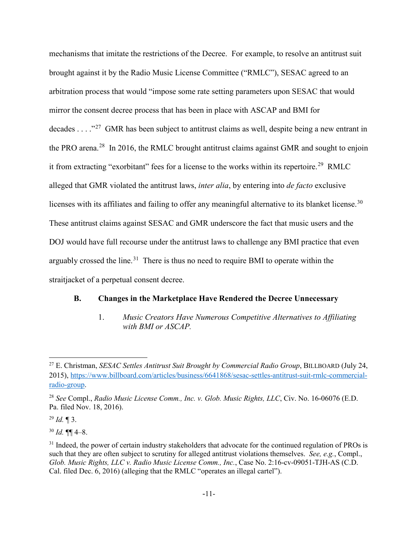mechanisms that imitate the restrictions of the Decree. For example, to resolve an antitrust suit brought against it by the Radio Music License Committee ("RMLC"), SESAC agreed to an arbitration process that would "impose some rate setting parameters upon SESAC that would mirror the consent decree process that has been in place with ASCAP and BMI for decades . . . ."[27](#page-11-0) GMR has been subject to antitrust claims as well, despite being a new entrant in the PRO arena.<sup>28</sup> In 2016, the RMLC brought antitrust claims against GMR and sought to enjoin it from extracting "exorbitant" fees for a license to the works within its repertoire.<sup>29</sup> RMLC alleged that GMR violated the antitrust laws, *inter alia*, by entering into *de facto* exclusive licenses with its affiliates and failing to offer any meaningful alternative to its blanket license.<sup>30</sup> These antitrust claims against SESAC and GMR underscore the fact that music users and the DOJ would have full recourse under the antitrust laws to challenge any BMI practice that even arguably crossed the line.<sup>[31](#page-11-4)</sup> There is thus no need to require BMI to operate within the straitjacket of a perpetual consent decree.

### **B. Changes in the Marketplace Have Rendered the Decree Unnecessary**

1. *Music Creators Have Numerous Competitive Alternatives to Affiliating with BMI or ASCAP.* 

<span id="page-11-2"></span><sup>29</sup> *Id.* ¶ 3.

 $\overline{a}$ 

<span id="page-11-3"></span> $30$  *Id.* **¶** 4–8.

<span id="page-11-0"></span><sup>27</sup> E. Christman, *SESAC Settles Antitrust Suit Brought by Commercial Radio Group*, BILLBOARD (July 24, 2015), [https://www.billboard.com/articles/business/6641868/sesac-settles-antitrust-suit-rmlc-commercial](https://www.billboard.com/articles/business/6641868/sesac-settles-antitrust-suit-rmlc-commercial-radio-group)[radio-group.](https://www.billboard.com/articles/business/6641868/sesac-settles-antitrust-suit-rmlc-commercial-radio-group)

<span id="page-11-1"></span><sup>28</sup> *See* Compl., *Radio Music License Comm., Inc. v. Glob. Music Rights, LLC*, Civ. No. 16-06076 (E.D. Pa. filed Nov. 18, 2016).

<span id="page-11-4"></span><sup>&</sup>lt;sup>31</sup> Indeed, the power of certain industry stakeholders that advocate for the continued regulation of PROs is such that they are often subject to scrutiny for alleged antitrust violations themselves. *See, e.g.*, Compl., *Glob. Music Rights, LLC v. Radio Music License Comm., Inc.*, Case No. 2:16-cv-09051-TJH-AS (C.D. Cal. filed Dec. 6, 2016) (alleging that the RMLC "operates an illegal cartel").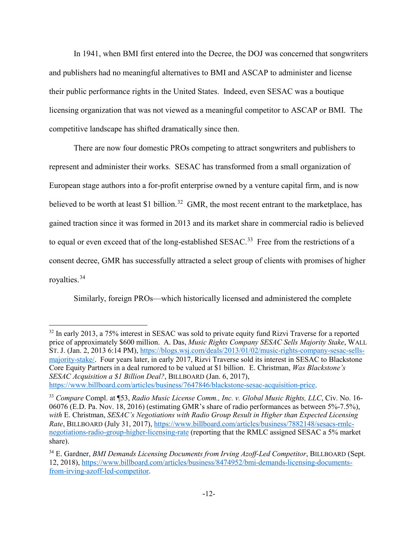In 1941, when BMI first entered into the Decree, the DOJ was concerned that songwriters and publishers had no meaningful alternatives to BMI and ASCAP to administer and license their public performance rights in the United States. Indeed, even SESAC was a boutique licensing organization that was not viewed as a meaningful competitor to ASCAP or BMI. The competitive landscape has shifted dramatically since then.

There are now four domestic PROs competing to attract songwriters and publishers to represent and administer their works. SESAC has transformed from a small organization of European stage authors into a for-profit enterprise owned by a venture capital firm, and is now believed to be worth at least \$1 billion.<sup>[32](#page-12-0)</sup> GMR, the most recent entrant to the marketplace, has gained traction since it was formed in 2013 and its market share in commercial radio is believed to equal or even exceed that of the long-established  $SESAC$ <sup>33</sup> Free from the restrictions of a consent decree, GMR has successfully attracted a select group of clients with promises of higher royalties. [34](#page-12-2)

Similarly, foreign PROs—which historically licensed and administered the complete

<span id="page-12-0"></span><sup>&</sup>lt;sup>32</sup> In early 2013, a 75% interest in SESAC was sold to private equity fund Rizvi Traverse for a reported price of approximately \$600 million. A. Das, *Music Rights Company SESAC Sells Majority Stake*, WALL ST. J. (Jan. 2, 2013 6:14 PM), [https://blogs.wsj.com/deals/2013/01/02/music-rights-company-sesac-sells](https://blogs.wsj.com/deals/2013/01/02/music-rights-company-sesac-sells-majority-stake/)[majority-stake/.](https://blogs.wsj.com/deals/2013/01/02/music-rights-company-sesac-sells-majority-stake/) Four years later, in early 2017, Rizvi Traverse sold its interest in SESAC to Blackstone Core Equity Partners in a deal rumored to be valued at \$1 billion. E. Christman, *Was Blackstone's SESAC Acquisition a \$1 Billion Deal?*, BILLBOARD (Jan. 6, 2017), [https://www.billboard.com/articles/business/7647846/blackstone-sesac-acquisition-price.](https://www.billboard.com/articles/business/7647846/blackstone-sesac-acquisition-price)

<span id="page-12-1"></span><sup>33</sup> *Compare* Compl. at ¶53, *Radio Music License Comm., Inc. v. Global Music Rights, LLC*, Civ. No. 16- 06076 (E.D. Pa. Nov. 18, 2016) (estimating GMR's share of radio performances as between 5%-7.5%), *with* E. Christman, *SESAC's Negotiations with Radio Group Result in Higher than Expected Licensing Rate*, BILLBOARD (July 31, 2017)[, https://www.billboard.com/articles/business/7882148/sesacs-rmlc](https://www.billboard.com/articles/business/7882148/sesacs-rmlc-negotiations-radio-group-higher-licensing-rate)[negotiations-radio-group-higher-licensing-rate](https://www.billboard.com/articles/business/7882148/sesacs-rmlc-negotiations-radio-group-higher-licensing-rate) (reporting that the RMLC assigned SESAC a 5% market share).

<span id="page-12-2"></span><sup>&</sup>lt;sup>34</sup> E. Gardner, *BMI Demands Licensing Documents from Irving Azoff-Led Competitor*, BILLBOARD (Sept. 12, 2018)[, https://www.billboard.com/articles/business/8474952/bmi-demands-licensing-documents](https://www.billboard.com/articles/business/8474952/bmi-demands-licensing-documents-from-irving-azoff-led-competitor)[from-irving-azoff-led-competitor.](https://www.billboard.com/articles/business/8474952/bmi-demands-licensing-documents-from-irving-azoff-led-competitor)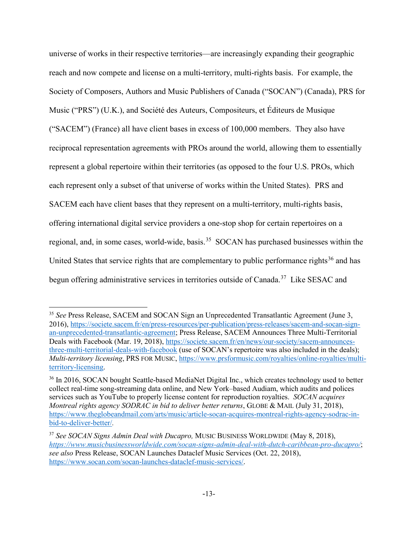universe of works in their respective territories—are increasingly expanding their geographic reach and now compete and license on a multi-territory, multi-rights basis. For example, the Society of Composers, Authors and Music Publishers of Canada ("SOCAN") (Canada), PRS for Music ("PRS") (U.K.), and Société des Auteurs, Compositeurs, et Éditeurs de Musique ("SACEM") (France) all have client bases in excess of 100,000 members. They also have reciprocal representation agreements with PROs around the world, allowing them to essentially represent a global repertoire within their territories (as opposed to the four U.S. PROs, which each represent only a subset of that universe of works within the United States). PRS and SACEM each have client bases that they represent on a multi-territory, multi-rights basis, offering international digital service providers a one-stop shop for certain repertoires on a regional, and, in some cases, world-wide, basis.<sup>35</sup> SOCAN has purchased businesses within the United States that service rights that are complementary to public performance rights $36$  and has begun offering administrative services in territories outside of Canada.<sup>37</sup> Like SESAC and

<span id="page-13-0"></span><sup>&</sup>lt;sup>35</sup> See Press Release, SACEM and SOCAN Sign an Unprecedented Transatlantic Agreement (June 3, 2016), [https://societe.sacem.fr/en/press-resources/per-publication/press-releases/sacem-and-socan-sign](https://societe.sacem.fr/en/press-resources/per-publication/press-releases/sacem-and-socan-sign-an-unprecedented-transatlantic-agreement)[an-unprecedented-transatlantic-agreement;](https://societe.sacem.fr/en/press-resources/per-publication/press-releases/sacem-and-socan-sign-an-unprecedented-transatlantic-agreement) Press Release, SACEM Announces Three Multi-Territorial Deals with Facebook (Mar. 19, 2018), [https://societe.sacem.fr/en/news/our-society/sacem-announces](https://societe.sacem.fr/en/news/our-society/sacem-announces-three-multi-territorial-deals-with-facebook)[three-multi-territorial-deals-with-facebook](https://societe.sacem.fr/en/news/our-society/sacem-announces-three-multi-territorial-deals-with-facebook) (use of SOCAN's repertoire was also included in the deals); *Multi-territory licensing*, PRS FOR MUSIC, [https://www.prsformusic.com/royalties/online-royalties/multi](https://www.prsformusic.com/royalties/online-royalties/multi-territory-licensing)[territory-licensing.](https://www.prsformusic.com/royalties/online-royalties/multi-territory-licensing)

<span id="page-13-1"></span><sup>&</sup>lt;sup>36</sup> In 2016, SOCAN bought Seattle-based MediaNet Digital Inc., which creates technology used to better collect real-time song-streaming data online, and New York–based Audiam, which audits and polices services such as YouTube to properly license content for reproduction royalties. *SOCAN acquires Montreal rights agency SODRAC in bid to deliver better returns*, GLOBE & MAIL (July 31, 2018), [https://www.theglobeandmail.com/arts/music/article-socan-acquires-montreal-rights-agency-sodrac-in](https://www.theglobeandmail.com/arts/music/article-socan-acquires-montreal-rights-agency-sodrac-in-bid-to-deliver-better/)[bid-to-deliver-better/](https://www.theglobeandmail.com/arts/music/article-socan-acquires-montreal-rights-agency-sodrac-in-bid-to-deliver-better/)*.*

<span id="page-13-2"></span><sup>37</sup> *See SOCAN Signs Admin Deal with Ducapro,* MUSIC BUSINESS WORLDWIDE (May 8, 2018), *<https://www.musicbusinessworldwide.com/socan-signs-admin-deal-with-dutch-caribbean-pro-ducapro/>*; *see also* Press Release, SOCAN Launches Dataclef Music Services (Oct. 22, 2018), [https://www.socan.com/socan-launches-dataclef-music-services/.](https://www.socan.com/socan-launches-dataclef-music-services/)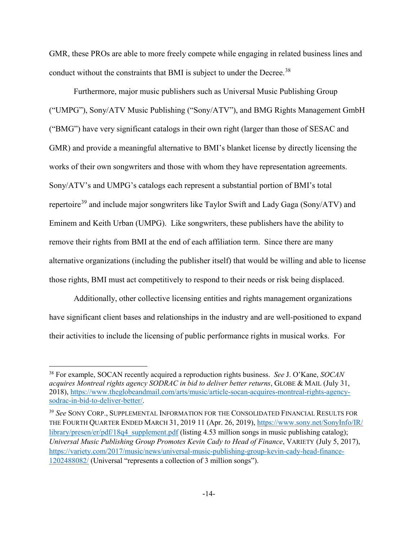GMR, these PROs are able to more freely compete while engaging in related business lines and conduct without the constraints that BMI is subject to under the Decree.<sup>[38](#page-14-0)</sup>

Furthermore, major music publishers such as Universal Music Publishing Group ("UMPG"), Sony/ATV Music Publishing ("Sony/ATV"), and BMG Rights Management GmbH ("BMG") have very significant catalogs in their own right (larger than those of SESAC and GMR) and provide a meaningful alternative to BMI's blanket license by directly licensing the works of their own songwriters and those with whom they have representation agreements. Sony/ATV's and UMPG's catalogs each represent a substantial portion of BMI's total repertoire<sup>[39](#page-14-1)</sup> and include major songwriters like Taylor Swift and Lady Gaga (Sony/ATV) and Eminem and Keith Urban (UMPG). Like songwriters, these publishers have the ability to remove their rights from BMI at the end of each affiliation term. Since there are many alternative organizations (including the publisher itself) that would be willing and able to license those rights, BMI must act competitively to respond to their needs or risk being displaced.

Additionally, other collective licensing entities and rights management organizations have significant client bases and relationships in the industry and are well-positioned to expand their activities to include the licensing of public performance rights in musical works. For

<span id="page-14-0"></span><sup>38</sup> For example, SOCAN recently acquired a reproduction rights business. *See* J. O'Kane, *SOCAN acquires Montreal rights agency SODRAC in bid to deliver better returns*, GLOBE & MAIL (July 31, 2018), [https://www.theglobeandmail.com/arts/music/article-socan-acquires-montreal-rights-agency](https://www.theglobeandmail.com/arts/music/article-socan-acquires-montreal-rights-agency-sodrac-in-bid-to-deliver-better/)[sodrac-in-bid-to-deliver-better/.](https://www.theglobeandmail.com/arts/music/article-socan-acquires-montreal-rights-agency-sodrac-in-bid-to-deliver-better/)

<span id="page-14-1"></span><sup>39</sup> *See* SONY CORP., SUPPLEMENTAL INFORMATION FOR THE CONSOLIDATED FINANCIAL RESULTS FOR THE FOURTH QUARTER ENDED MARCH 31, 2019 11 (Apr. 26, 2019)[, https://www.sony.net/SonyInfo/IR/](https://www.sony.net/SonyInfo/IR/%20library/presen/er/pdf/18q4_supplement.pdf)  [library/presen/er/pdf/18q4\\_supplement.pdf](https://www.sony.net/SonyInfo/IR/%20library/presen/er/pdf/18q4_supplement.pdf) (listing 4.53 million songs in music publishing catalog); *Universal Music Publishing Group Promotes Kevin Cady to Head of Finance*, VARIETY (July 5, 2017), [https://variety.com/2017/music/news/universal-music-publishing-group-kevin-cady-head-finance-](https://variety.com/2017/music/news/universal-music-publishing-group-kevin-cady-head-finance-1202488082/)[1202488082/](https://variety.com/2017/music/news/universal-music-publishing-group-kevin-cady-head-finance-1202488082/) (Universal "represents a collection of 3 million songs").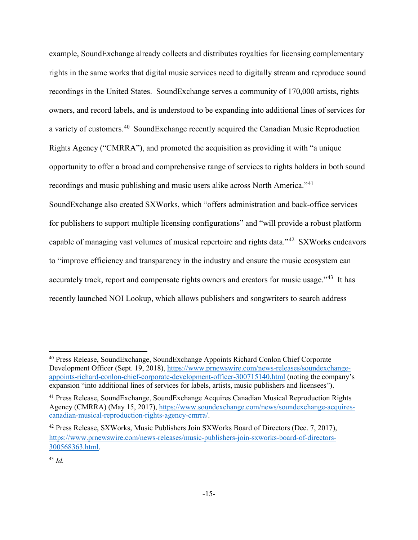example, SoundExchange already collects and distributes royalties for licensing complementary rights in the same works that digital music services need to digitally stream and reproduce sound recordings in the United States. SoundExchange serves a community of 170,000 artists, rights owners, and record labels, and is understood to be expanding into additional lines of services for a variety of customers.<sup>40</sup> SoundExchange recently acquired the Canadian Music Reproduction Rights Agency ("CMRRA"), and promoted the acquisition as providing it with "a unique opportunity to offer a broad and comprehensive range of services to rights holders in both sound recordings and music publishing and music users alike across North America."[41](#page-15-1) SoundExchange also created SXWorks, which "offers administration and back-office services for publishers to support multiple licensing configurations" and "will provide a robust platform capable of managing vast volumes of musical repertoire and rights data."[42](#page-15-2) SXWorks endeavors to "improve efficiency and transparency in the industry and ensure the music ecosystem can accurately track, report and compensate rights owners and creators for music usage."<sup>[43](#page-15-3)</sup> It has recently launched NOI Lookup, which allows publishers and songwriters to search address

<span id="page-15-0"></span><sup>40</sup> Press Release, SoundExchange, SoundExchange Appoints Richard Conlon Chief Corporate Development Officer (Sept. 19, 2018), [https://www.prnewswire.com/news-releases/soundexchange](https://www.prnewswire.com/news-releases/soundexchange-appoints-richard-conlon-chief-corporate-development-officer-300715140.html)[appoints-richard-conlon-chief-corporate-development-officer-300715140.html](https://www.prnewswire.com/news-releases/soundexchange-appoints-richard-conlon-chief-corporate-development-officer-300715140.html) (noting the company's expansion "into additional lines of services for labels, artists, music publishers and licensees").

<span id="page-15-1"></span><sup>&</sup>lt;sup>41</sup> Press Release, SoundExchange, SoundExchange Acquires Canadian Musical Reproduction Rights Agency (CMRRA) (May 15, 2017), [https://www.soundexchange.com/news/soundexchange-acquires](https://www.soundexchange.com/news/soundexchange-acquires-canadian-musical-reproduction-rights-agency-cmrra/)[canadian-musical-reproduction-rights-agency-cmrra/.](https://www.soundexchange.com/news/soundexchange-acquires-canadian-musical-reproduction-rights-agency-cmrra/)

<span id="page-15-2"></span><sup>&</sup>lt;sup>42</sup> Press Release, SXWorks, Music Publishers Join SXWorks Board of Directors (Dec. 7, 2017), [https://www.prnewswire.com/news-releases/music-publishers-join-sxworks-board-of-directors-](https://www.prnewswire.com/news-releases/music-publishers-join-sxworks-board-of-directors-300568363.html)[300568363.html.](https://www.prnewswire.com/news-releases/music-publishers-join-sxworks-board-of-directors-300568363.html)

<span id="page-15-3"></span><sup>43</sup> *Id.*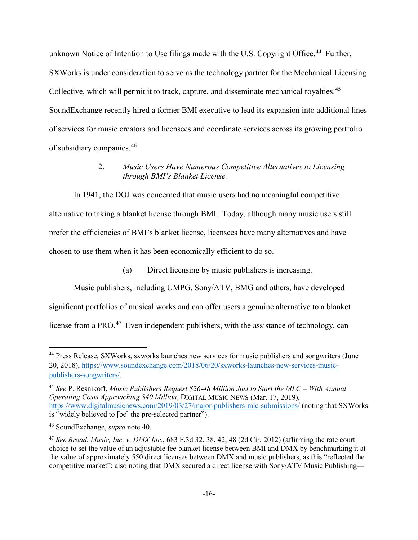unknown Notice of Intention to Use filings made with the U.S. Copyright Office.<sup>[44](#page-16-0)</sup> Further, SXWorks is under consideration to serve as the technology partner for the Mechanical Licensing Collective, which will permit it to track, capture, and disseminate mechanical royalties.<sup>45</sup> SoundExchange recently hired a former BMI executive to lead its expansion into additional lines of services for music creators and licensees and coordinate services across its growing portfolio of subsidiary companies.[46](#page-16-2)

# 2. *Music Users Have Numerous Competitive Alternatives to Licensing through BMI's Blanket License.*

In 1941, the DOJ was concerned that music users had no meaningful competitive alternative to taking a blanket license through BMI. Today, although many music users still prefer the efficiencies of BMI's blanket license, licensees have many alternatives and have chosen to use them when it has been economically efficient to do so.

(a) Direct licensing by music publishers is increasing.

Music publishers, including UMPG, Sony/ATV, BMG and others, have developed significant portfolios of musical works and can offer users a genuine alternative to a blanket license from a PRO.<sup>47</sup> Even independent publishers, with the assistance of technology, can

<span id="page-16-0"></span><sup>&</sup>lt;sup>44</sup> Press Release, SXWorks, sxworks launches new services for music publishers and songwriters (June 20, 2018)[, https://www.soundexchange.com/2018/06/20/sxworks-launches-new-services-music](https://www.soundexchange.com/2018/06/20/sxworks-launches-new-services-music-publishers-songwriters/)[publishers-songwriters/.](https://www.soundexchange.com/2018/06/20/sxworks-launches-new-services-music-publishers-songwriters/)

<span id="page-16-1"></span><sup>45</sup> *See* P. Resnikoff, *Music Publishers Request \$26-48 Million Just to Start the MLC – With Annual Operating Costs Approaching \$40 Million*, DIGITAL MUSIC NEWS (Mar. 17, 2019), <https://www.digitalmusicnews.com/2019/03/27/major-publishers-mlc-submissions/>(noting that SXWorks is "widely believed to [be] the pre-selected partner").

<span id="page-16-2"></span><sup>46</sup> SoundExchange, *supra* note 40.

<span id="page-16-3"></span><sup>47</sup> *See Broad. Music, Inc. v. DMX Inc.*, 683 F.3d 32, 38, 42, 48 (2d Cir. 2012) (affirming the rate court choice to set the value of an adjustable fee blanket license between BMI and DMX by benchmarking it at the value of approximately 550 direct licenses between DMX and music publishers, as this "reflected the competitive market"; also noting that DMX secured a direct license with Sony/ATV Music Publishing—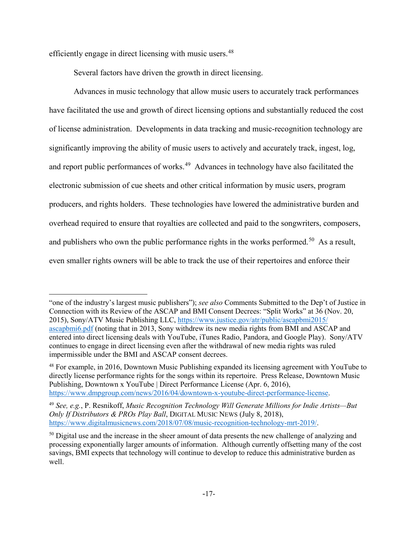efficiently engage in direct licensing with music users.<sup>[48](#page-17-0)</sup>

 $\overline{a}$ 

Several factors have driven the growth in direct licensing.

Advances in music technology that allow music users to accurately track performances have facilitated the use and growth of direct licensing options and substantially reduced the cost of license administration. Developments in data tracking and music-recognition technology are significantly improving the ability of music users to actively and accurately track, ingest, log, and report public performances of works.<sup>[49](#page-17-1)</sup> Advances in technology have also facilitated the electronic submission of cue sheets and other critical information by music users, program producers, and rights holders. These technologies have lowered the administrative burden and overhead required to ensure that royalties are collected and paid to the songwriters, composers, and publishers who own the public performance rights in the works performed.<sup>50</sup> As a result, even smaller rights owners will be able to track the use of their repertoires and enforce their

<sup>&</sup>quot;one of the industry's largest music publishers"); *see also* Comments Submitted to the Dep't of Justice in Connection with its Review of the ASCAP and BMI Consent Decrees: "Split Works" at 36 (Nov. 20, 2015), Sony/ATV Music Publishing LLC, [https://www.justice.gov/atr/public/ascapbmi2015/](https://www.justice.gov/atr/public/ascapbmi2015/%20ascapbmi6.pdf)  [ascapbmi6.pdf](https://www.justice.gov/atr/public/ascapbmi2015/%20ascapbmi6.pdf) (noting that in 2013, Sony withdrew its new media rights from BMI and ASCAP and entered into direct licensing deals with YouTube, iTunes Radio, Pandora, and Google Play). Sony/ATV continues to engage in direct licensing even after the withdrawal of new media rights was ruled impermissible under the BMI and ASCAP consent decrees.

<span id="page-17-0"></span><sup>&</sup>lt;sup>48</sup> For example, in 2016, Downtown Music Publishing expanded its licensing agreement with YouTube to directly license performance rights for the songs within its repertoire. Press Release, Downtown Music Publishing, Downtown x YouTube | Direct Performance License (Apr. 6, 2016), [https://www.dmpgroup.com/news/2016/04/downtown-x-youtube-direct-performance-license.](https://www.dmpgroup.com/news/2016/04/downtown-x-youtube-direct-performance-license)

<span id="page-17-1"></span><sup>49</sup> *See, e.g.*, P. Resnikoff, *Music Recognition Technology Will Generate Millions for Indie Artists—But Only If Distributors & PROs Play Ball*, DIGITAL MUSIC NEWS (July 8, 2018), [https://www.digitalmusicnews.com/2018/07/08/music-recognition-technology-mrt-2019/.](https://www.digitalmusicnews.com/2018/07/08/music-recognition-technology-mrt-2019/)

<span id="page-17-2"></span><sup>&</sup>lt;sup>50</sup> Digital use and the increase in the sheer amount of data presents the new challenge of analyzing and processing exponentially larger amounts of information. Although currently offsetting many of the cost savings, BMI expects that technology will continue to develop to reduce this administrative burden as well.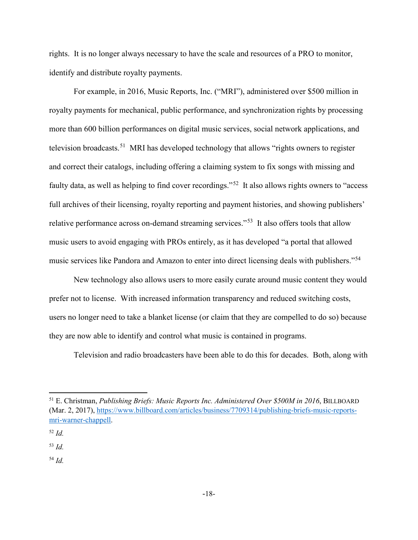rights. It is no longer always necessary to have the scale and resources of a PRO to monitor, identify and distribute royalty payments.

For example, in 2016, Music Reports, Inc. ("MRI"), administered over \$500 million in royalty payments for mechanical, public performance, and synchronization rights by processing more than 600 billion performances on digital music services, social network applications, and television broadcasts.<sup>51</sup> MRI has developed technology that allows "rights owners to register and correct their catalogs, including offering a claiming system to fix songs with missing and faulty data, as well as helping to find cover recordings."[52](#page-18-1) It also allows rights owners to "access full archives of their licensing, royalty reporting and payment histories, and showing publishers' relative performance across on-demand streaming services."<sup>53</sup> It also offers tools that allow music users to avoid engaging with PROs entirely, as it has developed "a portal that allowed music services like Pandora and Amazon to enter into direct licensing deals with publishers."[54](#page-18-3)

New technology also allows users to more easily curate around music content they would prefer not to license. With increased information transparency and reduced switching costs, users no longer need to take a blanket license (or claim that they are compelled to do so) because they are now able to identify and control what music is contained in programs.

Television and radio broadcasters have been able to do this for decades. Both, along with

 $\overline{a}$ 

<span id="page-18-3"></span><sup>54</sup> *Id.* 

<span id="page-18-0"></span><sup>51</sup> E. Christman, *Publishing Briefs: Music Reports Inc. Administered Over \$500M in 2016*, BILLBOARD (Mar. 2, 2017)[, https://www.billboard.com/articles/business/7709314/publishing-briefs-music-reports](https://www.billboard.com/articles/business/7709314/publishing-briefs-music-reports-mri-warner-chappell)[mri-warner-chappell.](https://www.billboard.com/articles/business/7709314/publishing-briefs-music-reports-mri-warner-chappell)

<span id="page-18-1"></span><sup>52</sup> *Id.*

<span id="page-18-2"></span><sup>53</sup> *Id.*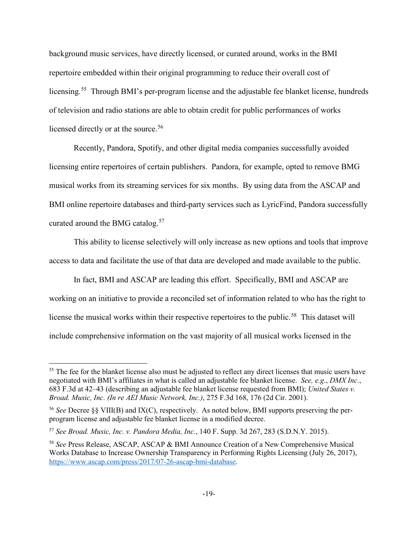background music services, have directly licensed, or curated around, works in the BMI repertoire embedded within their original programming to reduce their overall cost of licensing.<sup>55</sup> Through BMI's per-program license and the adjustable fee blanket license, hundreds of television and radio stations are able to obtain credit for public performances of works licensed directly or at the source.<sup>[56](#page-19-1)</sup>

Recently, Pandora, Spotify, and other digital media companies successfully avoided licensing entire repertoires of certain publishers. Pandora, for example, opted to remove BMG musical works from its streaming services for six months. By using data from the ASCAP and BMI online repertoire databases and third-party services such as LyricFind, Pandora successfully curated around the BMG catalog.<sup>[57](#page-19-2)</sup>

This ability to license selectively will only increase as new options and tools that improve access to data and facilitate the use of that data are developed and made available to the public.

In fact, BMI and ASCAP are leading this effort. Specifically, BMI and ASCAP are working on an initiative to provide a reconciled set of information related to who has the right to license the musical works within their respective repertoires to the public.<sup>58</sup> This dataset will include comprehensive information on the vast majority of all musical works licensed in the

<span id="page-19-0"></span><sup>&</sup>lt;sup>55</sup> The fee for the blanket license also must be adjusted to reflect any direct licenses that music users have negotiated with BMI's affiliates in what is called an adjustable fee blanket license. *See, e.g.*, *DMX Inc.*, 683 F.3d at 42–43 (describing an adjustable fee blanket license requested from BMI); *United States v. Broad. Music, Inc. (In re AEI Music Network, Inc.)*, 275 F.3d 168, 176 (2d Cir. 2001).

<span id="page-19-1"></span><sup>56</sup> *See* Decree §§ VIII(B) and IX(C), respectively. As noted below, BMI supports preserving the perprogram license and adjustable fee blanket license in a modified decree.

<span id="page-19-2"></span><sup>57</sup> *See Broad. Music, Inc. v. Pandora Media, Inc.*, 140 F. Supp. 3d 267, 283 (S.D.N.Y. 2015).

<span id="page-19-3"></span><sup>58</sup> *See* Press Release, ASCAP, ASCAP & BMI Announce Creation of a New Comprehensive Musical Works Database to Increase Ownership Transparency in Performing Rights Licensing (July 26, 2017), [https://www.ascap.com/press/2017/07-26-ascap-bmi-database.](https://www.ascap.com/press/2017/07-26-ascap-bmi-database)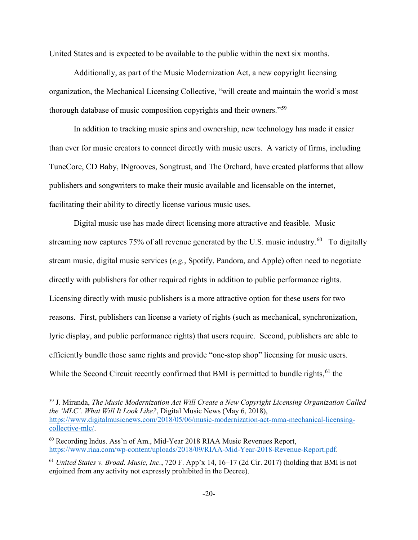United States and is expected to be available to the public within the next six months.

Additionally, as part of the Music Modernization Act, a new copyright licensing organization, the Mechanical Licensing Collective, "will create and maintain the world's most thorough database of music composition copyrights and their owners."[59](#page-20-0)

In addition to tracking music spins and ownership, new technology has made it easier than ever for music creators to connect directly with music users. A variety of firms, including TuneCore, CD Baby, INgrooves, Songtrust, and The Orchard, have created platforms that allow publishers and songwriters to make their music available and licensable on the internet, facilitating their ability to directly license various music uses.

Digital music use has made direct licensing more attractive and feasible. Music streaming now captures 75% of all revenue generated by the U.S. music industry.<sup>[60](#page-20-1)</sup> To digitally stream music, digital music services (*e.g.*, Spotify, Pandora, and Apple) often need to negotiate directly with publishers for other required rights in addition to public performance rights. Licensing directly with music publishers is a more attractive option for these users for two reasons. First, publishers can license a variety of rights (such as mechanical, synchronization, lyric display, and public performance rights) that users require. Second, publishers are able to efficiently bundle those same rights and provide "one-stop shop" licensing for music users. While the Second Circuit recently confirmed that BMI is permitted to bundle rights,<sup>[61](#page-20-2)</sup> the

<span id="page-20-0"></span><sup>59</sup> J. Miranda, *The Music Modernization Act Will Create a New Copyright Licensing Organization Called the 'MLC'. What Will It Look Like?*, Digital Music News (May 6, 2018), [https://www.digitalmusicnews.com/2018/05/06/music-modernization-act-mma-mechanical-licensing](https://www.digitalmusicnews.com/2018/05/06/music-modernization-act-mma-mechanical-licensing-collective-mlc/)[collective-mlc/.](https://www.digitalmusicnews.com/2018/05/06/music-modernization-act-mma-mechanical-licensing-collective-mlc/)

<span id="page-20-1"></span><sup>60</sup> Recording Indus. Ass'n of Am., Mid-Year 2018 RIAA Music Revenues Report, [https://www.riaa.com/wp-content/uploads/2018/09/RIAA-Mid-Year-2018-Revenue-Report.pdf.](https://www.riaa.com/wp-content/uploads/2018/09/RIAA-Mid-Year-2018-Revenue-Report.pdf)

<span id="page-20-2"></span><sup>61</sup> *United States v. Broad. Music, Inc.*, 720 F. App'x 14, 16–17 (2d Cir. 2017) (holding that BMI is not enjoined from any activity not expressly prohibited in the Decree).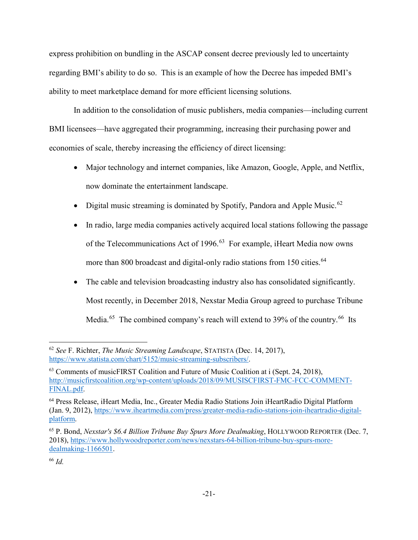express prohibition on bundling in the ASCAP consent decree previously led to uncertainty regarding BMI's ability to do so. This is an example of how the Decree has impeded BMI's ability to meet marketplace demand for more efficient licensing solutions.

In addition to the consolidation of music publishers, media companies—including current BMI licensees—have aggregated their programming, increasing their purchasing power and economies of scale, thereby increasing the efficiency of direct licensing:

- Major technology and internet companies, like Amazon, Google, Apple, and Netflix, now dominate the entertainment landscape.
- Digital music streaming is dominated by Spotify, Pandora and Apple Music.<sup>[62](#page-21-0)</sup>
- In radio, large media companies actively acquired local stations following the passage of the Telecommunications Act of 1996.<sup>[63](#page-21-1)</sup> For example, iHeart Media now owns more than 800 broadcast and digital-only radio stations from 150 cities.<sup>[64](#page-21-2)</sup>
- The cable and television broadcasting industry also has consolidated significantly. Most recently, in December 2018, Nexstar Media Group agreed to purchase Tribune Media.<sup>[65](#page-21-3)</sup> The combined company's reach will extend to 39% of the country.<sup>66</sup> Its

<span id="page-21-0"></span><sup>62</sup> *See* F. Richter, *The Music Streaming Landscape*, STATISTA (Dec. 14, 2017), [https://www.statista.com/chart/5152/music-streaming-subscribers/.](https://www.statista.com/chart/5152/music-streaming-subscribers/)

<span id="page-21-1"></span><sup>63</sup> Comments of musicFIRST Coalition and Future of Music Coalition at i (Sept. 24, 2018), [http://musicfirstcoalition.org/wp-content/uploads/2018/09/MUSISCFIRST-FMC-FCC-COMMENT-](http://musicfirstcoalition.org/wp-content/uploads/2018/09/MUSISCFIRST-FMC-FCC-COMMENT-FINAL.pdf)[FINAL.pdf.](http://musicfirstcoalition.org/wp-content/uploads/2018/09/MUSISCFIRST-FMC-FCC-COMMENT-FINAL.pdf)

<span id="page-21-2"></span><sup>64</sup> Press Release, iHeart Media, Inc., Greater Media Radio Stations Join iHeartRadio Digital Platform (Jan. 9, 2012), [https://www.iheartmedia.com/press/greater-media-radio-stations-join-iheartradio-digital](https://www.iheartmedia.com/press/greater-media-radio-stations-join-iheartradio-digital-platform)[platform.](https://www.iheartmedia.com/press/greater-media-radio-stations-join-iheartradio-digital-platform)

<span id="page-21-3"></span><sup>65</sup> P. Bond, *Nexstar's \$6.4 Billion Tribune Buy Spurs More Dealmaking*, HOLLYWOOD REPORTER (Dec. 7, 2018), [https://www.hollywoodreporter.com/news/nexstars-64-billion-tribune-buy-spurs-more](https://www.hollywoodreporter.com/news/nexstars-64-billion-tribune-buy-spurs-more-dealmaking-1166501)[dealmaking-1166501.](https://www.hollywoodreporter.com/news/nexstars-64-billion-tribune-buy-spurs-more-dealmaking-1166501)

<span id="page-21-4"></span><sup>66</sup> *Id.*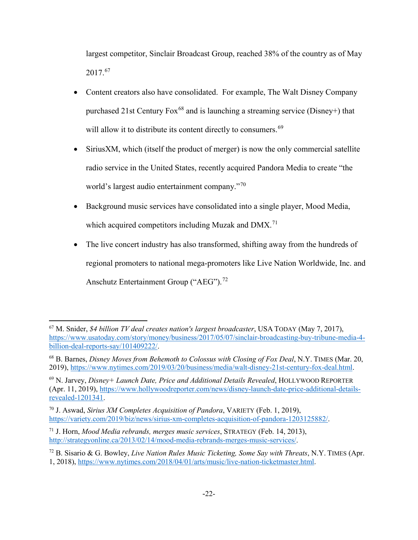largest competitor, Sinclair Broadcast Group, reached 38% of the country as of May 2017.[67](#page-22-0)

- Content creators also have consolidated. For example, The Walt Disney Company purchased 21st Century Fox<sup>68</sup> and is launching a streaming service (Disney+) that will allow it to distribute its content directly to consumers.<sup>[69](#page-22-2)</sup>
- SiriusXM, which (itself the product of merger) is now the only commercial satellite radio service in the United States, recently acquired Pandora Media to create "the world's largest audio entertainment company."<sup>[70](#page-22-3)</sup>
- Background music services have consolidated into a single player, Mood Media, which acquired competitors including Muzak and DMX.<sup>[71](#page-22-4)</sup>
- The live concert industry has also transformed, shifting away from the hundreds of regional promoters to national mega-promoters like Live Nation Worldwide, Inc. and Anschutz Entertainment Group ("AEG").<sup>[72](#page-22-5)</sup>

<span id="page-22-0"></span> $\overline{a}$ 67 M. Snider, *\$4 billion TV deal creates nation's largest broadcaster*, USA TODAY (May 7, 2017), [https://www.usatoday.com/story/money/business/2017/05/07/sinclair-broadcasting-buy-tribune-media-4](https://www.usatoday.com/story/money/business/2017/05/07/sinclair-broadcasting-buy-tribune-media-4-billion-deal-reports-say/101409222/) [billion-deal-reports-say/101409222/.](https://www.usatoday.com/story/money/business/2017/05/07/sinclair-broadcasting-buy-tribune-media-4-billion-deal-reports-say/101409222/)

<span id="page-22-1"></span><sup>68</sup> B. Barnes, *Disney Moves from Behemoth to Colossus with Closing of Fox Deal*, N.Y. TIMES (Mar. 20, 2019), [https://www.nytimes.com/2019/03/20/business/media/walt-disney-21st-century-fox-deal.html.](https://www.nytimes.com/2019/03/20/business/media/walt-disney-21st-century-fox-deal.html)

<span id="page-22-2"></span><sup>69</sup> N. Jarvey, *Disney+ Launch Date, Price and Additional Details Revealed*, HOLLYWOOD REPORTER (Apr. 11, 2019), [https://www.hollywoodreporter.com/news/disney-launch-date-price-additional-details](https://www.hollywoodreporter.com/news/disney-launch-date-price-additional-details-revealed-1201341)[revealed-1201341.](https://www.hollywoodreporter.com/news/disney-launch-date-price-additional-details-revealed-1201341)

<span id="page-22-3"></span><sup>70</sup> J. Aswad, *Sirius XM Completes Acquisition of Pandora*, VARIETY (Feb. 1, 2019), [https://variety.com/2019/biz/news/sirius-xm-completes-acquisition-of-pandora-1203125882/.](https://variety.com/2019/biz/news/sirius-xm-completes-acquisition-of-pandora-1203125882/)

<span id="page-22-4"></span><sup>71</sup> J. Horn, *Mood Media rebrands, merges music services*, STRATEGY (Feb. 14, 2013), [http://strategyonline.ca/2013/02/14/mood-media-rebrands-merges-music-services/.](http://strategyonline.ca/2013/02/14/mood-media-rebrands-merges-music-services/)

<span id="page-22-5"></span><sup>72</sup> B. Sisario & G. Bowley, *Live Nation Rules Music Ticketing, Some Say with Threats*, N.Y. TIMES (Apr. 1, 2018), [https://www.nytimes.com/2018/04/01/arts/music/live-nation-ticketmaster.html.](https://www.nytimes.com/2018/04/01/arts/music/live-nation-ticketmaster.html)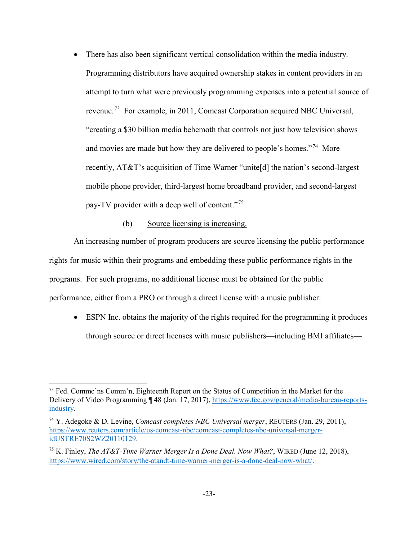- There has also been significant vertical consolidation within the media industry. Programming distributors have acquired ownership stakes in content providers in an attempt to turn what were previously programming expenses into a potential source of revenue.[73](#page-23-0) For example, in 2011, Comcast Corporation acquired NBC Universal, "creating a \$30 billion media behemoth that controls not just how television shows and movies are made but how they are delivered to people's homes."[74](#page-23-1) More recently, AT&T's acquisition of Time Warner "unite[d] the nation's second-largest mobile phone provider, third-largest home broadband provider, and second-largest pay-TV provider with a deep well of content."[75](#page-23-2)
	- (b) Source licensing is increasing.

An increasing number of program producers are source licensing the public performance rights for music within their programs and embedding these public performance rights in the programs. For such programs, no additional license must be obtained for the public performance, either from a PRO or through a direct license with a music publisher:

• ESPN Inc. obtains the majority of the rights required for the programming it produces through source or direct licenses with music publishers—including BMI affiliates—

<span id="page-23-0"></span><sup>&</sup>lt;sup>73</sup> Fed. Comme'ns Comm'n, Eighteenth Report on the Status of Competition in the Market for the Delivery of Video Programming ¶ 48 (Jan. 17, 2017), [https://www.fcc.gov/general/media-bureau-reports](https://www.fcc.gov/general/media-bureau-reports-industry)[industry.](https://www.fcc.gov/general/media-bureau-reports-industry)

<span id="page-23-1"></span><sup>74</sup> Y. Adegoke & D. Levine, *Comcast completes NBC Universal merger*, REUTERS (Jan. 29, 2011), [https://www.reuters.com/article/us-comcast-nbc/comcast-completes-nbc-universal-merger](https://www.reuters.com/article/us-comcast-nbc/comcast-completes-nbc-universal-merger-idUSTRE70S2WZ20110129)[idUSTRE70S2WZ20110129.](https://www.reuters.com/article/us-comcast-nbc/comcast-completes-nbc-universal-merger-idUSTRE70S2WZ20110129)

<span id="page-23-2"></span><sup>75</sup> K. Finley, *The AT&T-Time Warner Merger Is a Done Deal. Now What?*, WIRED (June 12, 2018), [https://www.wired.com/story/the-atandt-time-warner-merger-is-a-done-deal-now-what/.](https://www.wired.com/story/the-atandt-time-warner-merger-is-a-done-deal-now-what/)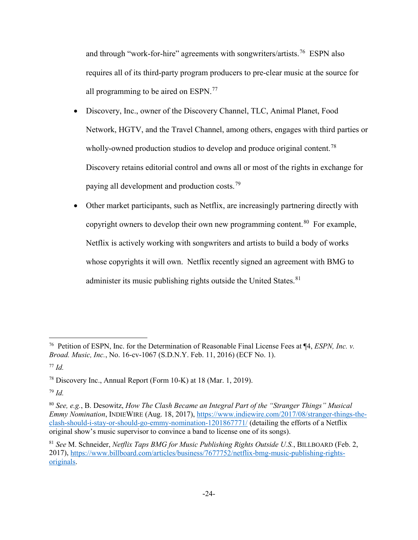and through "work-for-hire" agreements with songwriters/artists.<sup>[76](#page-24-0)</sup> ESPN also requires all of its third-party program producers to pre-clear music at the source for all programming to be aired on  $ESPN<sup>77</sup>$  $ESPN<sup>77</sup>$  $ESPN<sup>77</sup>$ 

- Discovery, Inc., owner of the Discovery Channel, TLC, Animal Planet, Food Network, HGTV, and the Travel Channel, among others, engages with third parties or wholly-owned production studios to develop and produce original content.<sup>78</sup> Discovery retains editorial control and owns all or most of the rights in exchange for paying all development and production costs.[79](#page-24-3)
- Other market participants, such as Netflix, are increasingly partnering directly with copyright owners to develop their own new programming content.<sup>[80](#page-24-4)</sup> For example, Netflix is actively working with songwriters and artists to build a body of works whose copyrights it will own. Netflix recently signed an agreement with BMG to administer its music publishing rights outside the United States.<sup>[81](#page-24-5)</sup>

<span id="page-24-0"></span><sup>76</sup> Petition of ESPN, Inc. for the Determination of Reasonable Final License Fees at ¶4, *ESPN, Inc. v. Broad. Music, Inc.*, No. 16-cv-1067 (S.D.N.Y. Feb. 11, 2016) (ECF No. 1).

<span id="page-24-1"></span><sup>77</sup> *Id.* 

<span id="page-24-2"></span><sup>78</sup> Discovery Inc., Annual Report (Form 10-K) at 18 (Mar. 1, 2019).

<span id="page-24-3"></span><sup>79</sup> *Id.* 

<span id="page-24-4"></span><sup>80</sup> *See, e.g.*, B. Desowitz, *How The Clash Became an Integral Part of the "Stranger Things" Musical Emmy Nomination*, INDIEWIRE (Aug. 18, 2017), [https://www.indiewire.com/2017/08/stranger-things-the](https://www.indiewire.com/2017/08/stranger-things-the-clash-should-i-stay-or-should-go-emmy-nomination-1201867771/)[clash-should-i-stay-or-should-go-emmy-nomination-1201867771/](https://www.indiewire.com/2017/08/stranger-things-the-clash-should-i-stay-or-should-go-emmy-nomination-1201867771/) (detailing the efforts of a Netflix original show's music supervisor to convince a band to license one of its songs).

<span id="page-24-5"></span><sup>81</sup> *See* M. Schneider, *Netflix Taps BMG for Music Publishing Rights Outside U.S.*, BILLBOARD (Feb. 2, 2017), [https://www.billboard.com/articles/business/7677752/netflix-bmg-music-publishing-rights](https://www.billboard.com/articles/business/7677752/netflix-bmg-music-publishing-rights-originals)[originals.](https://www.billboard.com/articles/business/7677752/netflix-bmg-music-publishing-rights-originals)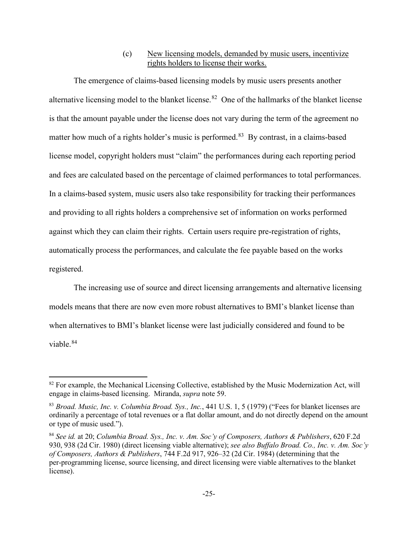# (c) New licensing models, demanded by music users, incentivize rights holders to license their works.

The emergence of claims-based licensing models by music users presents another alternative licensing model to the blanket license.<sup>[82](#page-25-0)</sup> One of the hallmarks of the blanket license is that the amount payable under the license does not vary during the term of the agreement no matter how much of a rights holder's music is performed.<sup>[83](#page-25-1)</sup> By contrast, in a claims-based license model, copyright holders must "claim" the performances during each reporting period and fees are calculated based on the percentage of claimed performances to total performances. In a claims-based system, music users also take responsibility for tracking their performances and providing to all rights holders a comprehensive set of information on works performed against which they can claim their rights. Certain users require pre-registration of rights, automatically process the performances, and calculate the fee payable based on the works registered.

The increasing use of source and direct licensing arrangements and alternative licensing models means that there are now even more robust alternatives to BMI's blanket license than when alternatives to BMI's blanket license were last judicially considered and found to be viable.<sup>[84](#page-25-2)</sup>

<span id="page-25-0"></span> $82$  For example, the Mechanical Licensing Collective, established by the Music Modernization Act, will engage in claims-based licensing. Miranda, *supra* note 59.

<span id="page-25-1"></span><sup>83</sup> *Broad. Music, Inc. v. Columbia Broad. Sys., Inc.*, 441 U.S. 1, 5 (1979) ("Fees for blanket licenses are ordinarily a percentage of total revenues or a flat dollar amount, and do not directly depend on the amount or type of music used.").

<span id="page-25-2"></span><sup>84</sup> *See id.* at 20; *Columbia Broad. Sys., Inc. v. Am. Soc'y of Composers, Authors & Publishers*, 620 F.2d 930, 938 (2d Cir. 1980) (direct licensing viable alternative); *see also Buffalo Broad. Co., Inc. v. Am. Soc'y of Composers, Authors & Publishers*, 744 F.2d 917, 926–32 (2d Cir. 1984) (determining that the per-programming license, source licensing, and direct licensing were viable alternatives to the blanket license).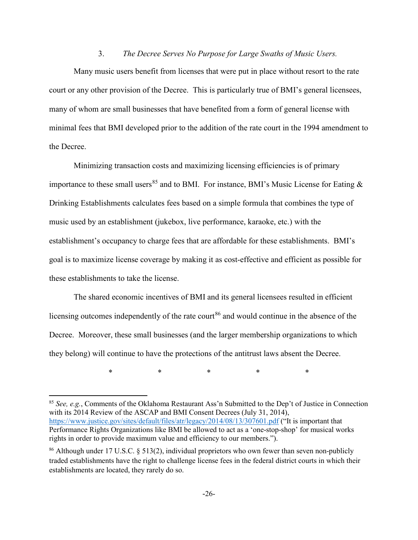# 3. *The Decree Serves No Purpose for Large Swaths of Music Users.*

Many music users benefit from licenses that were put in place without resort to the rate court or any other provision of the Decree. This is particularly true of BMI's general licensees, many of whom are small businesses that have benefited from a form of general license with minimal fees that BMI developed prior to the addition of the rate court in the 1994 amendment to the Decree.

Minimizing transaction costs and maximizing licensing efficiencies is of primary importance to these small users<sup>[85](#page-26-0)</sup> and to BMI. For instance, BMI's Music License for Eating  $\&$ Drinking Establishments calculates fees based on a simple formula that combines the type of music used by an establishment (jukebox, live performance, karaoke, etc.) with the establishment's occupancy to charge fees that are affordable for these establishments. BMI's goal is to maximize license coverage by making it as cost-effective and efficient as possible for these establishments to take the license.

The shared economic incentives of BMI and its general licensees resulted in efficient licensing outcomes independently of the rate court<sup>[86](#page-26-1)</sup> and would continue in the absence of the Decree. Moreover, these small businesses (and the larger membership organizations to which they belong) will continue to have the protections of the antitrust laws absent the Decree.

\* \* \* \* \* \* \*

<span id="page-26-0"></span><sup>85</sup> *See, e.g.*, Comments of the Oklahoma Restaurant Ass'n Submitted to the Dep't of Justice in Connection with its 2014 Review of the ASCAP and BMI Consent Decrees (July 31, 2014), <https://www.justice.gov/sites/default/files/atr/legacy/2014/08/13/307601.pdf> ("It is important that Performance Rights Organizations like BMI be allowed to act as a 'one-stop-shop' for musical works rights in order to provide maximum value and efficiency to our members.").

<span id="page-26-1"></span><sup>86</sup> Although under 17 U.S.C. § 513(2), individual proprietors who own fewer than seven non-publicly traded establishments have the right to challenge license fees in the federal district courts in which their establishments are located, they rarely do so.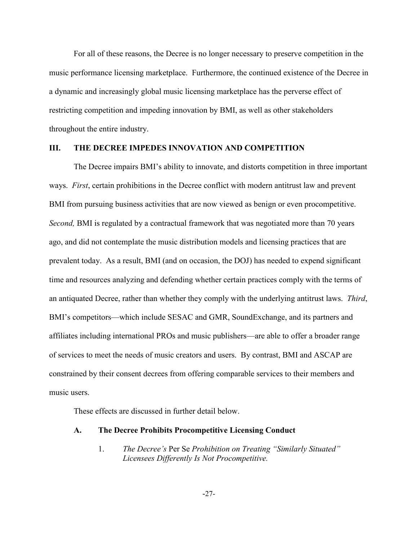For all of these reasons, the Decree is no longer necessary to preserve competition in the music performance licensing marketplace. Furthermore, the continued existence of the Decree in a dynamic and increasingly global music licensing marketplace has the perverse effect of restricting competition and impeding innovation by BMI, as well as other stakeholders throughout the entire industry.

### **III. THE DECREE IMPEDES INNOVATION AND COMPETITION**

The Decree impairs BMI's ability to innovate, and distorts competition in three important ways. *First*, certain prohibitions in the Decree conflict with modern antitrust law and prevent BMI from pursuing business activities that are now viewed as benign or even procompetitive. *Second,* BMI is regulated by a contractual framework that was negotiated more than 70 years ago, and did not contemplate the music distribution models and licensing practices that are prevalent today. As a result, BMI (and on occasion, the DOJ) has needed to expend significant time and resources analyzing and defending whether certain practices comply with the terms of an antiquated Decree, rather than whether they comply with the underlying antitrust laws. *Third*, BMI's competitors—which include SESAC and GMR, SoundExchange, and its partners and affiliates including international PROs and music publishers—are able to offer a broader range of services to meet the needs of music creators and users. By contrast, BMI and ASCAP are constrained by their consent decrees from offering comparable services to their members and music users.

These effects are discussed in further detail below.

#### **A. The Decree Prohibits Procompetitive Licensing Conduct**

1. *The Decree's* Per Se *Prohibition on Treating "Similarly Situated" Licensees Differently Is Not Procompetitive.*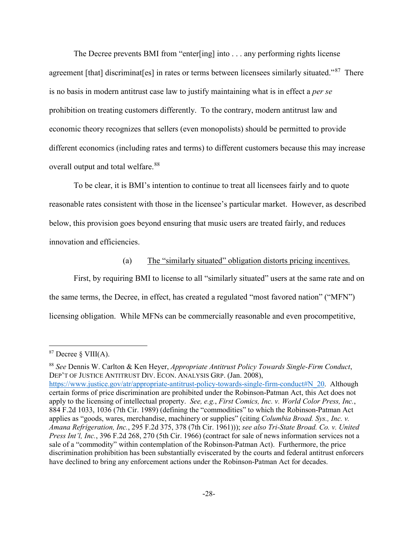The Decree prevents BMI from "enter[ing] into . . . any performing rights license agreement [that] discriminat[es] in rates or terms between licensees similarly situated."<sup>87</sup> There is no basis in modern antitrust case law to justify maintaining what is in effect a *per se* prohibition on treating customers differently. To the contrary, modern antitrust law and economic theory recognizes that sellers (even monopolists) should be permitted to provide different economics (including rates and terms) to different customers because this may increase overall output and total welfare.<sup>[88](#page-28-1)</sup>

To be clear, it is BMI's intention to continue to treat all licensees fairly and to quote reasonable rates consistent with those in the licensee's particular market. However, as described below, this provision goes beyond ensuring that music users are treated fairly, and reduces innovation and efficiencies.

# (a) The "similarly situated" obligation distorts pricing incentives.

First, by requiring BMI to license to all "similarly situated" users at the same rate and on the same terms, the Decree, in effect, has created a regulated "most favored nation" ("MFN") licensing obligation. While MFNs can be commercially reasonable and even procompetitive,

 $\overline{a}$ 

<span id="page-28-1"></span><sup>88</sup> *See* Dennis W. Carlton & Ken Heyer, *Appropriate Antitrust Policy Towards Single-Firm Conduct*, DEP'T OF JUSTICE ANTITRUST DIV. ECON. ANALYSIS GRP. (Jan. 2008), [https://www.justice.gov/atr/appropriate-antitrust-policy-towards-single-firm-conduct#N\\_20.](https://www.justice.gov/atr/appropriate-antitrust-policy-towards-single-firm-conduct#N_20) Although certain forms of price discrimination are prohibited under the Robinson-Patman Act, this Act does not apply to the licensing of intellectual property. *See, e.g.*, *First Comics, Inc. v. World Color Press, Inc.*, 884 F.2d 1033, 1036 (7th Cir. 1989) (defining the "commodities" to which the Robinson-Patman Act applies as "goods, wares, merchandise, machinery or supplies" (citing *Columbia Broad. Sys., Inc. v. Amana Refrigeration, Inc.*, 295 F.2d 375, 378 (7th Cir. 1961))); *see also Tri-State Broad. Co. v. United Press Int'l, Inc.*, 396 F.2d 268, 270 (5th Cir. 1966) (contract for sale of news information services not a sale of a "commodity" within contemplation of the Robinson-Patman Act). Furthermore, the price discrimination prohibition has been substantially eviscerated by the courts and federal antitrust enforcers have declined to bring any enforcement actions under the Robinson-Patman Act for decades.

<span id="page-28-0"></span><sup>87</sup> Decree § VIII(A).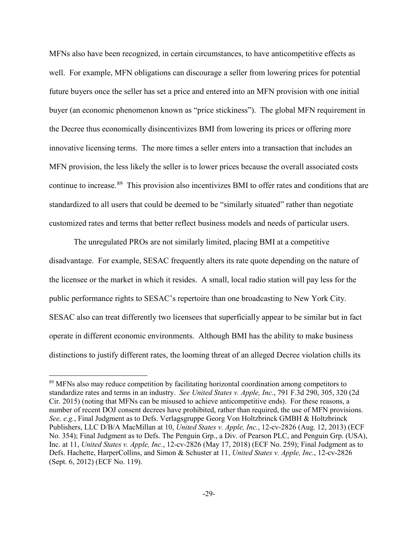MFNs also have been recognized, in certain circumstances, to have anticompetitive effects as well. For example, MFN obligations can discourage a seller from lowering prices for potential future buyers once the seller has set a price and entered into an MFN provision with one initial buyer (an economic phenomenon known as "price stickiness"). The global MFN requirement in the Decree thus economically disincentivizes BMI from lowering its prices or offering more innovative licensing terms. The more times a seller enters into a transaction that includes an MFN provision, the less likely the seller is to lower prices because the overall associated costs continue to increase.<sup>89</sup> This provision also incentivizes BMI to offer rates and conditions that are standardized to all users that could be deemed to be "similarly situated" rather than negotiate customized rates and terms that better reflect business models and needs of particular users.

The unregulated PROs are not similarly limited, placing BMI at a competitive disadvantage. For example, SESAC frequently alters its rate quote depending on the nature of the licensee or the market in which it resides. A small, local radio station will pay less for the public performance rights to SESAC's repertoire than one broadcasting to New York City. SESAC also can treat differently two licensees that superficially appear to be similar but in fact operate in different economic environments. Although BMI has the ability to make business distinctions to justify different rates, the looming threat of an alleged Decree violation chills its

<span id="page-29-0"></span><sup>&</sup>lt;sup>89</sup> MFNs also may reduce competition by facilitating horizontal coordination among competitors to standardize rates and terms in an industry. *See United States v. Apple, Inc.*, 791 F.3d 290, 305, 320 (2d Cir. 2015) (noting that MFNs can be misused to achieve anticompetitive ends). For these reasons, a number of recent DOJ consent decrees have prohibited, rather than required, the use of MFN provisions. *See, e.g.*, Final Judgment as to Defs. Verlagsgruppe Georg Von Holtzbrinck GMBH & Holtzbrinck Publishers, LLC D/B/A MacMillan at 10, *United States v. Apple, Inc.*, 12-cv-2826 (Aug. 12, 2013) (ECF No. 354); Final Judgment as to Defs. The Penguin Grp., a Div. of Pearson PLC, and Penguin Grp. (USA), Inc. at 11, *United States v. Apple, Inc.*, 12-cv-2826 (May 17, 2018) (ECF No. 259); Final Judgment as to Defs. Hachette, HarperCollins, and Simon & Schuster at 11, *United States v. Apple, Inc.*, 12-cv-2826 (Sept. 6, 2012) (ECF No. 119).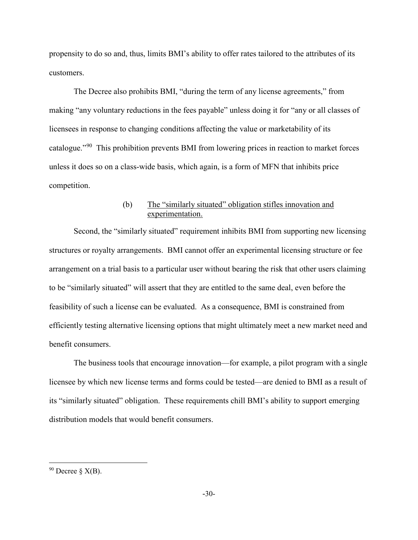propensity to do so and, thus, limits BMI's ability to offer rates tailored to the attributes of its customers.

The Decree also prohibits BMI, "during the term of any license agreements," from making "any voluntary reductions in the fees payable" unless doing it for "any or all classes of licensees in response to changing conditions affecting the value or marketability of its catalogue."[90](#page-30-0) This prohibition prevents BMI from lowering prices in reaction to market forces unless it does so on a class-wide basis, which again, is a form of MFN that inhibits price competition.

# (b) The "similarly situated" obligation stifles innovation and experimentation.

Second, the "similarly situated" requirement inhibits BMI from supporting new licensing structures or royalty arrangements. BMI cannot offer an experimental licensing structure or fee arrangement on a trial basis to a particular user without bearing the risk that other users claiming to be "similarly situated" will assert that they are entitled to the same deal, even before the feasibility of such a license can be evaluated. As a consequence, BMI is constrained from efficiently testing alternative licensing options that might ultimately meet a new market need and benefit consumers.

The business tools that encourage innovation—for example, a pilot program with a single licensee by which new license terms and forms could be tested—are denied to BMI as a result of its "similarly situated" obligation. These requirements chill BMI's ability to support emerging distribution models that would benefit consumers.

<span id="page-30-0"></span> $90$  Decree §  $X(B)$ .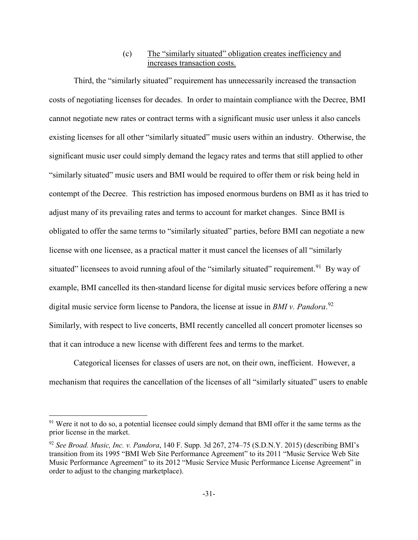# (c) The "similarly situated" obligation creates inefficiency and increases transaction costs.

Third, the "similarly situated" requirement has unnecessarily increased the transaction costs of negotiating licenses for decades. In order to maintain compliance with the Decree, BMI cannot negotiate new rates or contract terms with a significant music user unless it also cancels existing licenses for all other "similarly situated" music users within an industry. Otherwise, the significant music user could simply demand the legacy rates and terms that still applied to other "similarly situated" music users and BMI would be required to offer them or risk being held in contempt of the Decree. This restriction has imposed enormous burdens on BMI as it has tried to adjust many of its prevailing rates and terms to account for market changes. Since BMI is obligated to offer the same terms to "similarly situated" parties, before BMI can negotiate a new license with one licensee, as a practical matter it must cancel the licenses of all "similarly situated" licensees to avoid running afoul of the "similarly situated" requirement.<sup>91</sup> By way of example, BMI cancelled its then-standard license for digital music services before offering a new digital music service form license to Pandora, the license at issue in *BMI v. Pandora*. [92](#page-31-1)  Similarly, with respect to live concerts, BMI recently cancelled all concert promoter licenses so that it can introduce a new license with different fees and terms to the market.

Categorical licenses for classes of users are not, on their own, inefficient. However, a mechanism that requires the cancellation of the licenses of all "similarly situated" users to enable

<span id="page-31-0"></span><sup>&</sup>lt;sup>91</sup> Were it not to do so, a potential licensee could simply demand that BMI offer it the same terms as the prior license in the market.

<span id="page-31-1"></span><sup>92</sup> *See Broad. Music, Inc. v. Pandora*, 140 F. Supp. 3d 267, 274–75 (S.D.N.Y. 2015) (describing BMI's transition from its 1995 "BMI Web Site Performance Agreement" to its 2011 "Music Service Web Site Music Performance Agreement" to its 2012 "Music Service Music Performance License Agreement" in order to adjust to the changing marketplace).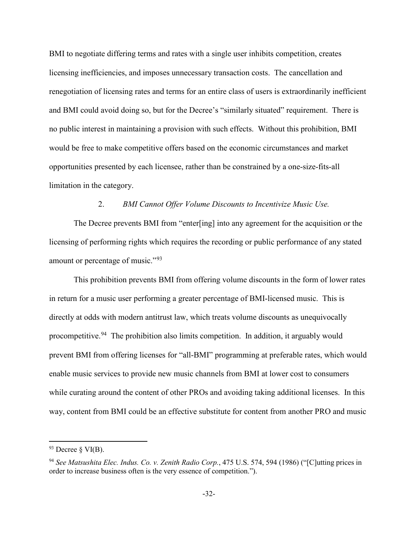BMI to negotiate differing terms and rates with a single user inhibits competition, creates licensing inefficiencies, and imposes unnecessary transaction costs. The cancellation and renegotiation of licensing rates and terms for an entire class of users is extraordinarily inefficient and BMI could avoid doing so, but for the Decree's "similarly situated" requirement. There is no public interest in maintaining a provision with such effects. Without this prohibition, BMI would be free to make competitive offers based on the economic circumstances and market opportunities presented by each licensee, rather than be constrained by a one-size-fits-all limitation in the category.

# 2. *BMI Cannot Offer Volume Discounts to Incentivize Music Use.*

The Decree prevents BMI from "enter[ing] into any agreement for the acquisition or the licensing of performing rights which requires the recording or public performance of any stated amount or percentage of music."[93](#page-32-0) 

This prohibition prevents BMI from offering volume discounts in the form of lower rates in return for a music user performing a greater percentage of BMI-licensed music. This is directly at odds with modern antitrust law, which treats volume discounts as unequivocally procompetitive.[94](#page-32-1) The prohibition also limits competition. In addition, it arguably would prevent BMI from offering licenses for "all-BMI" programming at preferable rates, which would enable music services to provide new music channels from BMI at lower cost to consumers while curating around the content of other PROs and avoiding taking additional licenses. In this way, content from BMI could be an effective substitute for content from another PRO and music

<span id="page-32-0"></span> $93$  Decree § VI(B).

<span id="page-32-1"></span><sup>94</sup> *See Matsushita Elec. Indus. Co. v. Zenith Radio Corp.*, 475 U.S. 574, 594 (1986) ("[C]utting prices in order to increase business often is the very essence of competition.").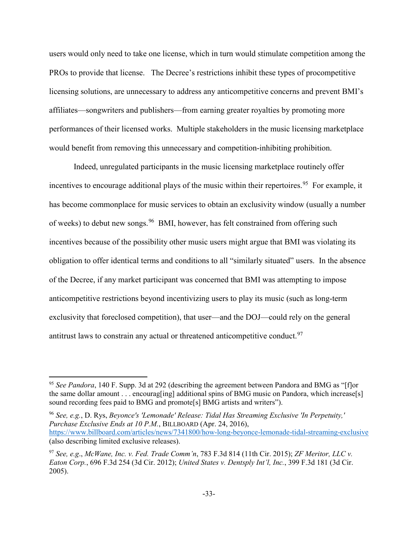users would only need to take one license, which in turn would stimulate competition among the PROs to provide that license. The Decree's restrictions inhibit these types of procompetitive licensing solutions, are unnecessary to address any anticompetitive concerns and prevent BMI's affiliates—songwriters and publishers—from earning greater royalties by promoting more performances of their licensed works. Multiple stakeholders in the music licensing marketplace would benefit from removing this unnecessary and competition-inhibiting prohibition.

Indeed, unregulated participants in the music licensing marketplace routinely offer incentives to encourage additional plays of the music within their repertoires.<sup>95</sup> For example, it has become commonplace for music services to obtain an exclusivity window (usually a number of weeks) to debut new songs.<sup>96</sup> BMI, however, has felt constrained from offering such incentives because of the possibility other music users might argue that BMI was violating its obligation to offer identical terms and conditions to all "similarly situated" users. In the absence of the Decree, if any market participant was concerned that BMI was attempting to impose anticompetitive restrictions beyond incentivizing users to play its music (such as long-term exclusivity that foreclosed competition), that user—and the DOJ—could rely on the general antitrust laws to constrain any actual or threatened anticompetitive conduct.<sup>97</sup>

 $\overline{a}$ 

<span id="page-33-1"></span><sup>96</sup> *See, e.g.*, D. Rys, *Beyonce's 'Lemonade' Release: Tidal Has Streaming Exclusive 'In Perpetuity,' Purchase Exclusive Ends at 10 P.M.*, BILLBOARD (Apr. 24, 2016), <https://www.billboard.com/articles/news/7341800/how-long-beyonce-lemonade-tidal-streaming-exclusive> (also describing limited exclusive releases).

<span id="page-33-0"></span><sup>95</sup> *See Pandora*, 140 F. Supp. 3d at 292 (describing the agreement between Pandora and BMG as "[f]or the same dollar amount . . . encourag[ing] additional spins of BMG music on Pandora, which increase[s] sound recording fees paid to BMG and promote<sup>[s]</sup> BMG artists and writers").

<span id="page-33-2"></span><sup>97</sup> *See, e.g*., *McWane, Inc. v. Fed. Trade Comm'n*, 783 F.3d 814 (11th Cir. 2015); *ZF Meritor, LLC v. Eaton Corp.*, 696 F.3d 254 (3d Cir. 2012); *United States v. Dentsply Int'l, Inc.*, 399 F.3d 181 (3d Cir. 2005).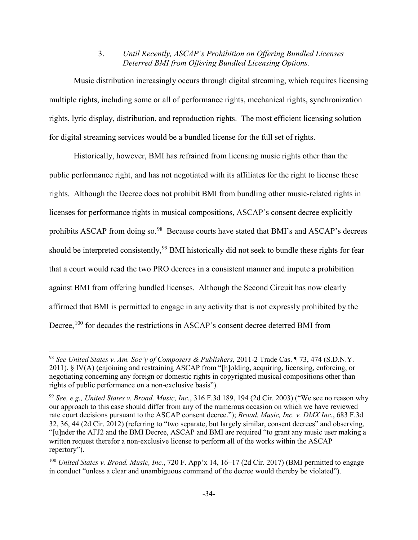# 3. *Until Recently, ASCAP's Prohibition on Offering Bundled Licenses Deterred BMI from Offering Bundled Licensing Options.*

Music distribution increasingly occurs through digital streaming, which requires licensing multiple rights, including some or all of performance rights, mechanical rights, synchronization rights, lyric display, distribution, and reproduction rights. The most efficient licensing solution for digital streaming services would be a bundled license for the full set of rights.

Historically, however, BMI has refrained from licensing music rights other than the public performance right, and has not negotiated with its affiliates for the right to license these rights. Although the Decree does not prohibit BMI from bundling other music-related rights in licenses for performance rights in musical compositions, ASCAP's consent decree explicitly prohibits ASCAP from doing so.<sup>[98](#page-34-0)</sup> Because courts have stated that BMI's and ASCAP's decrees should be interpreted consistently,<sup>[99](#page-34-1)</sup> BMI historically did not seek to bundle these rights for fear that a court would read the two PRO decrees in a consistent manner and impute a prohibition against BMI from offering bundled licenses. Although the Second Circuit has now clearly affirmed that BMI is permitted to engage in any activity that is not expressly prohibited by the Decree,<sup>[100](#page-34-2)</sup> for decades the restrictions in ASCAP's consent decree deterred BMI from

<span id="page-34-0"></span><sup>98</sup> *See United States v. Am. Soc'y of Composers & Publishers*, 2011-2 Trade Cas. ¶ 73, 474 (S.D.N.Y. 2011), § IV(A) (enjoining and restraining ASCAP from "[h]olding, acquiring, licensing, enforcing, or negotiating concerning any foreign or domestic rights in copyrighted musical compositions other than rights of public performance on a non-exclusive basis").

<span id="page-34-1"></span><sup>99</sup> *See, e.g., United States v. Broad. Music, Inc.*, 316 F.3d 189, 194 (2d Cir. 2003) ("We see no reason why our approach to this case should differ from any of the numerous occasion on which we have reviewed rate court decisions pursuant to the ASCAP consent decree."); *Broad. Music, Inc. v. DMX Inc.*, 683 F.3d 32, 36, 44 (2d Cir. 2012) (referring to "two separate, but largely similar, consent decrees" and observing, "[u]nder the AFJ2 and the BMI Decree, ASCAP and BMI are required "to grant any music user making a written request therefor a non-exclusive license to perform all of the works within the ASCAP repertory").

<span id="page-34-2"></span><sup>100</sup> *United States v. Broad. Music, Inc.*, 720 F. App'x 14, 16–17 (2d Cir. 2017) (BMI permitted to engage in conduct "unless a clear and unambiguous command of the decree would thereby be violated").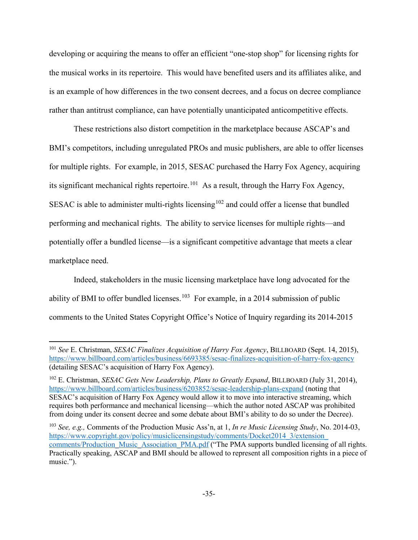developing or acquiring the means to offer an efficient "one-stop shop" for licensing rights for the musical works in its repertoire. This would have benefited users and its affiliates alike, and is an example of how differences in the two consent decrees, and a focus on decree compliance rather than antitrust compliance, can have potentially unanticipated anticompetitive effects.

These restrictions also distort competition in the marketplace because ASCAP's and BMI's competitors, including unregulated PROs and music publishers, are able to offer licenses for multiple rights. For example, in 2015, SESAC purchased the Harry Fox Agency, acquiring its significant mechanical rights repertoire.<sup>[101](#page-35-0)</sup> As a result, through the Harry Fox Agency, SESAC is able to administer multi-rights licensing<sup>[102](#page-35-1)</sup> and could offer a license that bundled performing and mechanical rights. The ability to service licenses for multiple rights—and potentially offer a bundled license—is a significant competitive advantage that meets a clear marketplace need.

Indeed, stakeholders in the music licensing marketplace have long advocated for the ability of BMI to offer bundled licenses.<sup>[103](#page-35-2)</sup> For example, in a 2014 submission of public comments to the United States Copyright Office's Notice of Inquiry regarding its 2014-2015

<span id="page-35-0"></span><sup>101</sup> *See* E. Christman, *SESAC Finalizes Acquisition of Harry Fox Agency*, BILLBOARD (Sept. 14, 2015), <https://www.billboard.com/articles/business/6693385/sesac-finalizes-acquisition-of-harry-fox-agency> (detailing SESAC's acquisition of Harry Fox Agency).

<span id="page-35-1"></span><sup>102</sup> E. Christman, *SESAC Gets New Leadership, Plans to Greatly Expand*, BILLBOARD (July 31, 2014), <https://www.billboard.com/articles/business/6203852/sesac-leadership-plans-expand> (noting that SESAC's acquisition of Harry Fox Agency would allow it to move into interactive streaming, which requires both performance and mechanical licensing—which the author noted ASCAP was prohibited from doing under its consent decree and some debate about BMI's ability to do so under the Decree).

<span id="page-35-2"></span><sup>103</sup> *See, e.g.,* Comments of the Production Music Ass'n, at 1, *In re Music Licensing Study*, No. 2014-03, [https://www.copyright.gov/policy/musiclicensingstudy/comments/Docket2014\\_3/extension\\_](https://www.copyright.gov/policy/musiclicensingstudy/comments/Docket2014_3/extension_%20comments/Production_Music_Association_PMA.pdf)  comments/Production Music Association PMA.pdf ("The PMA supports bundled licensing of all rights. Practically speaking, ASCAP and BMI should be allowed to represent all composition rights in a piece of music.").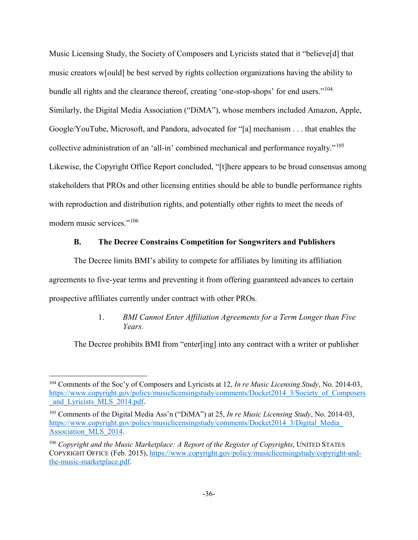Music Licensing Study, the Society of Composers and Lyricists stated that it "believe[d] that music creators w[ould] be best served by rights collection organizations having the ability to bundle all rights and the clearance thereof, creating 'one-stop-shops' for end users."<sup>104</sup> Similarly, the Digital Media Association ("DiMA"), whose members included Amazon, Apple, Google/YouTube, Microsoft, and Pandora, advocated for "[a] mechanism . . . that enables the collective administration of an 'all-in' combined mechanical and performance royalty."[105](#page-36-1)  Likewise, the Copyright Office Report concluded, "[t]here appears to be broad consensus among stakeholders that PROs and other licensing entities should be able to bundle performance rights with reproduction and distribution rights, and potentially other rights to meet the needs of modern music services."[106](#page-36-2)

### **B. The Decree Constrains Competition for Songwriters and Publishers**

The Decree limits BMI's ability to compete for affiliates by limiting its affiliation agreements to five-year terms and preventing it from offering guaranteed advances to certain prospective affiliates currently under contract with other PROs.

# 1. *BMI Cannot Enter Affiliation Agreements for a Term Longer than Five Years.*

The Decree prohibits BMI from "enter[ing] into any contract with a writer or publisher

<span id="page-36-0"></span><sup>104</sup> Comments of the Soc'y of Composers and Lyricists at 12, *In re Music Licensing Study*, No. 2014-03, [https://www.copyright.gov/policy/musiclicensingstudy/comments/Docket2014\\_3/Society\\_of\\_Composers](https://www.copyright.gov/policy/musiclicensingstudy/comments/Docket2014_3/Society_of_Composers_and_Lyricists_MLS_2014.pdf) and Lyricists MLS 2014.pdf.

<span id="page-36-1"></span><sup>105</sup> Comments of the Digital Media Ass'n ("DiMA") at 25, *In re Music Licensing Study*, No. 2014-03, [https://www.copyright.gov/policy/musiclicensingstudy/comments/Docket2014\\_3/Digital\\_Media\\_](https://www.copyright.gov/policy/musiclicensingstudy/comments/Docket2014_3/Digital_Media_Association_MLS_2014.pdf) Association MLS 2014.

<span id="page-36-2"></span><sup>&</sup>lt;sup>106</sup> Copyright and the Music Marketplace: A Report of the Register of Copyrights, UNITED STATES COPYRIGHT OFFICE (Feb. 2015), [https://www.copyright.gov/policy/musiclicensingstudy/copyright-and](https://www.copyright.gov/policy/musiclicensingstudy/copyright-and-the-music-marketplace.pdf)[the-music-marketplace.pdf.](https://www.copyright.gov/policy/musiclicensingstudy/copyright-and-the-music-marketplace.pdf)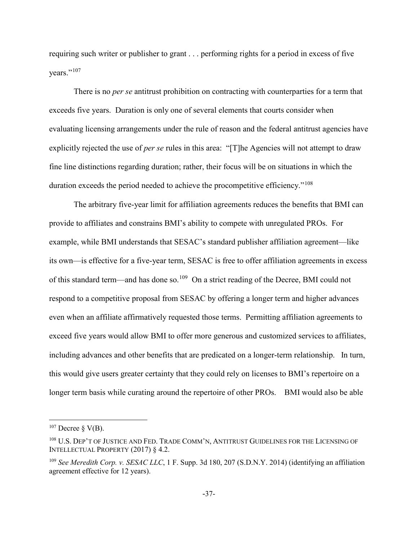requiring such writer or publisher to grant . . . performing rights for a period in excess of five years."<sup>[107](#page-37-0)</sup>

There is no *per se* antitrust prohibition on contracting with counterparties for a term that exceeds five years. Duration is only one of several elements that courts consider when evaluating licensing arrangements under the rule of reason and the federal antitrust agencies have explicitly rejected the use of *per se* rules in this area: "[T]he Agencies will not attempt to draw fine line distinctions regarding duration; rather, their focus will be on situations in which the duration exceeds the period needed to achieve the procompetitive efficiency."[108](#page-37-1) 

The arbitrary five-year limit for affiliation agreements reduces the benefits that BMI can provide to affiliates and constrains BMI's ability to compete with unregulated PROs. For example, while BMI understands that SESAC's standard publisher affiliation agreement—like its own—is effective for a five-year term, SESAC is free to offer affiliation agreements in excess of this standard term—and has done so.<sup>[109](#page-37-2)</sup> On a strict reading of the Decree, BMI could not respond to a competitive proposal from SESAC by offering a longer term and higher advances even when an affiliate affirmatively requested those terms. Permitting affiliation agreements to exceed five years would allow BMI to offer more generous and customized services to affiliates, including advances and other benefits that are predicated on a longer-term relationship. In turn, this would give users greater certainty that they could rely on licenses to BMI's repertoire on a longer term basis while curating around the repertoire of other PROs. BMI would also be able

<span id="page-37-0"></span> $107$  Decree § V(B).

<span id="page-37-1"></span><sup>108</sup> U.S. DEP'T OF JUSTICE AND FED. TRADE COMM'N, ANTITRUST GUIDELINES FOR THE LICENSING OF INTELLECTUAL PROPERTY (2017) § 4.2.

<span id="page-37-2"></span><sup>109</sup> *See Meredith Corp. v. SESAC LLC*, 1 F. Supp. 3d 180, 207 (S.D.N.Y. 2014) (identifying an affiliation agreement effective for 12 years).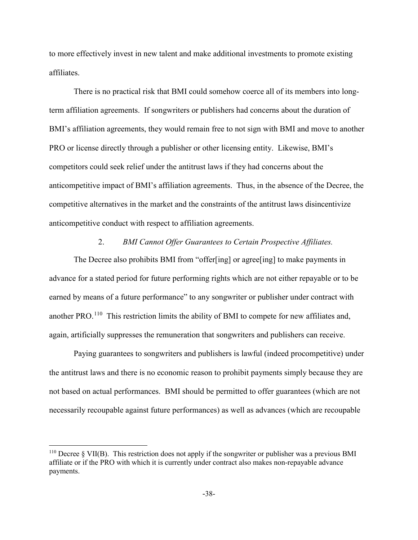to more effectively invest in new talent and make additional investments to promote existing affiliates.

There is no practical risk that BMI could somehow coerce all of its members into longterm affiliation agreements. If songwriters or publishers had concerns about the duration of BMI's affiliation agreements, they would remain free to not sign with BMI and move to another PRO or license directly through a publisher or other licensing entity. Likewise, BMI's competitors could seek relief under the antitrust laws if they had concerns about the anticompetitive impact of BMI's affiliation agreements. Thus, in the absence of the Decree, the competitive alternatives in the market and the constraints of the antitrust laws disincentivize anticompetitive conduct with respect to affiliation agreements.

### 2. *BMI Cannot Offer Guarantees to Certain Prospective Affiliates.*

The Decree also prohibits BMI from "offer[ing] or agree[ing] to make payments in advance for a stated period for future performing rights which are not either repayable or to be earned by means of a future performance" to any songwriter or publisher under contract with another PRO.<sup>[110](#page-38-0)</sup> This restriction limits the ability of BMI to compete for new affiliates and, again, artificially suppresses the remuneration that songwriters and publishers can receive.

Paying guarantees to songwriters and publishers is lawful (indeed procompetitive) under the antitrust laws and there is no economic reason to prohibit payments simply because they are not based on actual performances. BMI should be permitted to offer guarantees (which are not necessarily recoupable against future performances) as well as advances (which are recoupable

<span id="page-38-0"></span><sup>110</sup> Decree § VII(B). This restriction does not apply if the songwriter or publisher was a previous BMI affiliate or if the PRO with which it is currently under contract also makes non-repayable advance payments.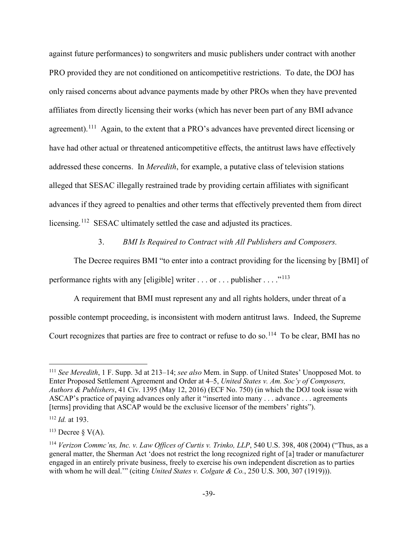against future performances) to songwriters and music publishers under contract with another PRO provided they are not conditioned on anticompetitive restrictions. To date, the DOJ has only raised concerns about advance payments made by other PROs when they have prevented affiliates from directly licensing their works (which has never been part of any BMI advance agreement). [111](#page-39-0)Again, to the extent that a PRO's advances have prevented direct licensing or have had other actual or threatened anticompetitive effects, the antitrust laws have effectively addressed these concerns. In *Meredith*, for example, a putative class of television stations alleged that SESAC illegally restrained trade by providing certain affiliates with significant advances if they agreed to penalties and other terms that effectively prevented them from direct licensing.<sup>[112](#page-39-1)</sup> SESAC ultimately settled the case and adjusted its practices.

### 3. *BMI Is Required to Contract with All Publishers and Composers.*

The Decree requires BMI "to enter into a contract providing for the licensing by [BMI] of performance rights with any [eligible] writer  $\dots$  or  $\dots$  publisher  $\dots$ ."<sup>[113](#page-39-2)</sup>

A requirement that BMI must represent any and all rights holders, under threat of a possible contempt proceeding, is inconsistent with modern antitrust laws. Indeed, the Supreme Court recognizes that parties are free to contract or refuse to do so.<sup>[114](#page-39-3)</sup> To be clear, BMI has no

<span id="page-39-0"></span><sup>111</sup> *See Meredith*, 1 F. Supp. 3d at 213–14; *see also* Mem. in Supp. of United States' Unopposed Mot. to Enter Proposed Settlement Agreement and Order at 4–5, *United States v. Am. Soc'y of Composers, Authors & Publishers*, 41 Civ. 1395 (May 12, 2016) (ECF No. 750) (in which the DOJ took issue with ASCAP's practice of paying advances only after it "inserted into many . . . advance . . . agreements [terms] providing that ASCAP would be the exclusive licensor of the members' rights").

<span id="page-39-1"></span><sup>112</sup> *Id.* at 193.

<span id="page-39-2"></span> $113$  Decree  $\delta$  V(A).

<span id="page-39-3"></span><sup>114</sup> *Verizon Commc'ns, Inc. v. Law Offices of Curtis v. Trinko, LLP*, 540 U.S. 398, 408 (2004) ("Thus, as a general matter, the Sherman Act 'does not restrict the long recognized right of [a] trader or manufacturer engaged in an entirely private business, freely to exercise his own independent discretion as to parties with whom he will deal.'" (citing *United States v. Colgate & Co.*, 250 U.S. 300, 307 (1919))).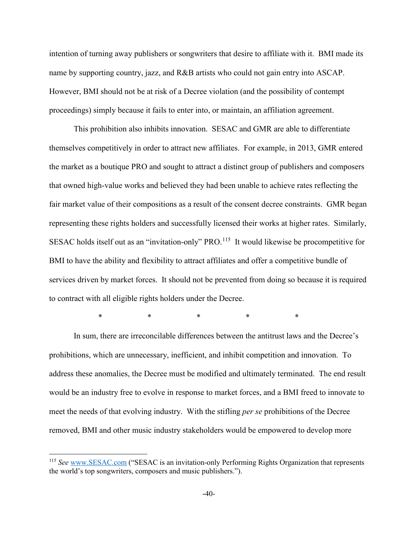intention of turning away publishers or songwriters that desire to affiliate with it. BMI made its name by supporting country, jazz, and R&B artists who could not gain entry into ASCAP. However, BMI should not be at risk of a Decree violation (and the possibility of contempt proceedings) simply because it fails to enter into, or maintain, an affiliation agreement.

This prohibition also inhibits innovation. SESAC and GMR are able to differentiate themselves competitively in order to attract new affiliates. For example, in 2013, GMR entered the market as a boutique PRO and sought to attract a distinct group of publishers and composers that owned high-value works and believed they had been unable to achieve rates reflecting the fair market value of their compositions as a result of the consent decree constraints. GMR began representing these rights holders and successfully licensed their works at higher rates. Similarly, SESAC holds itself out as an "invitation-only" PRO.<sup>[115](#page-40-0)</sup> It would likewise be procompetitive for BMI to have the ability and flexibility to attract affiliates and offer a competitive bundle of services driven by market forces. It should not be prevented from doing so because it is required to contract with all eligible rights holders under the Decree.

\* \* \* \* \*

In sum, there are irreconcilable differences between the antitrust laws and the Decree's prohibitions, which are unnecessary, inefficient, and inhibit competition and innovation. To address these anomalies, the Decree must be modified and ultimately terminated. The end result would be an industry free to evolve in response to market forces, and a BMI freed to innovate to meet the needs of that evolving industry. With the stifling *per se* prohibitions of the Decree removed, BMI and other music industry stakeholders would be empowered to develop more

<span id="page-40-0"></span><sup>115</sup> *See* [www.SESAC.com](http://www.sesac.com/) ("SESAC is an invitation-only Performing Rights Organization that represents the world's top songwriters, composers and music publishers.").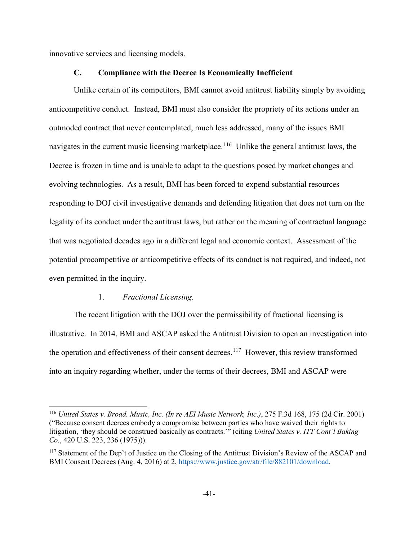innovative services and licensing models.

### **C. Compliance with the Decree Is Economically Inefficient**

Unlike certain of its competitors, BMI cannot avoid antitrust liability simply by avoiding anticompetitive conduct. Instead, BMI must also consider the propriety of its actions under an outmoded contract that never contemplated, much less addressed, many of the issues BMI navigates in the current music licensing marketplace.<sup>116</sup> Unlike the general antitrust laws, the Decree is frozen in time and is unable to adapt to the questions posed by market changes and evolving technologies. As a result, BMI has been forced to expend substantial resources responding to DOJ civil investigative demands and defending litigation that does not turn on the legality of its conduct under the antitrust laws, but rather on the meaning of contractual language that was negotiated decades ago in a different legal and economic context. Assessment of the potential procompetitive or anticompetitive effects of its conduct is not required, and indeed, not even permitted in the inquiry.

### 1. *Fractional Licensing.*

 $\overline{a}$ 

The recent litigation with the DOJ over the permissibility of fractional licensing is illustrative. In 2014, BMI and ASCAP asked the Antitrust Division to open an investigation into the operation and effectiveness of their consent decrees.<sup>[117](#page-41-1)</sup> However, this review transformed into an inquiry regarding whether, under the terms of their decrees, BMI and ASCAP were

<span id="page-41-0"></span><sup>116</sup> *United States v. Broad. Music, Inc. (In re AEI Music Network, Inc.)*, 275 F.3d 168, 175 (2d Cir. 2001) ("Because consent decrees embody a compromise between parties who have waived their rights to litigation, 'they should be construed basically as contracts.'" (citing *United States v. ITT Cont'l Baking Co.*, 420 U.S. 223, 236 (1975))).

<span id="page-41-1"></span><sup>&</sup>lt;sup>117</sup> Statement of the Dep't of Justice on the Closing of the Antitrust Division's Review of the ASCAP and BMI Consent Decrees (Aug. 4, 2016) at 2[, https://www.justice.gov/atr/file/882101/download.](https://www.justice.gov/atr/file/882101/download)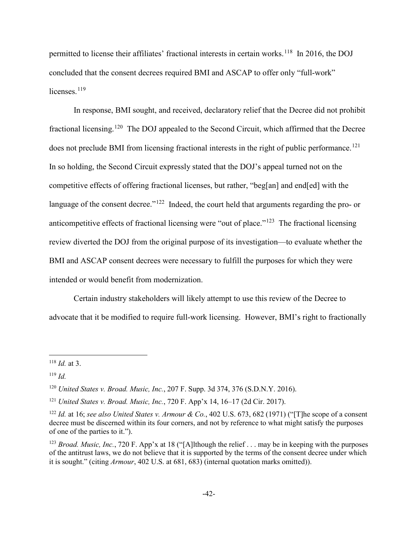permitted to license their affiliates' fractional interests in certain works.<sup>118</sup> In 2016, the DOJ concluded that the consent decrees required BMI and ASCAP to offer only "full-work" licenses.<sup>119</sup>

In response, BMI sought, and received, declaratory relief that the Decree did not prohibit fractional licensing.<sup>[120](#page-42-2)</sup> The DOJ appealed to the Second Circuit, which affirmed that the Decree does not preclude BMI from licensing fractional interests in the right of public performance.<sup>[121](#page-42-3)</sup> In so holding, the Second Circuit expressly stated that the DOJ's appeal turned not on the competitive effects of offering fractional licenses, but rather, "beg[an] and end[ed] with the language of the consent decree." $122$  Indeed, the court held that arguments regarding the pro- or anticompetitive effects of fractional licensing were "out of place."[123](#page-42-5) The fractional licensing review diverted the DOJ from the original purpose of its investigation—to evaluate whether the BMI and ASCAP consent decrees were necessary to fulfill the purposes for which they were intended or would benefit from modernization.

Certain industry stakeholders will likely attempt to use this review of the Decree to advocate that it be modified to require full-work licensing. However, BMI's right to fractionally

<span id="page-42-0"></span><sup>118</sup> *Id.* at 3.

<span id="page-42-1"></span><sup>119</sup> *Id.*

<span id="page-42-2"></span><sup>120</sup> *United States v. Broad. Music, Inc.*, 207 F. Supp. 3d 374, 376 (S.D.N.Y. 2016).

<span id="page-42-3"></span><sup>121</sup> *United States v. Broad. Music, Inc.*, 720 F. App'x 14, 16–17 (2d Cir. 2017).

<span id="page-42-4"></span><sup>122</sup> *Id.* at 16; *see also United States v. Armour & Co.*, 402 U.S. 673, 682 (1971) ("[T]he scope of a consent decree must be discerned within its four corners, and not by reference to what might satisfy the purposes of one of the parties to it.").

<span id="page-42-5"></span><sup>&</sup>lt;sup>123</sup> *Broad. Music, Inc.*, 720 F. App'x at 18 ("[A]lthough the relief . . . may be in keeping with the purposes of the antitrust laws, we do not believe that it is supported by the terms of the consent decree under which it is sought." (citing *Armour*, 402 U.S. at 681, 683) (internal quotation marks omitted)).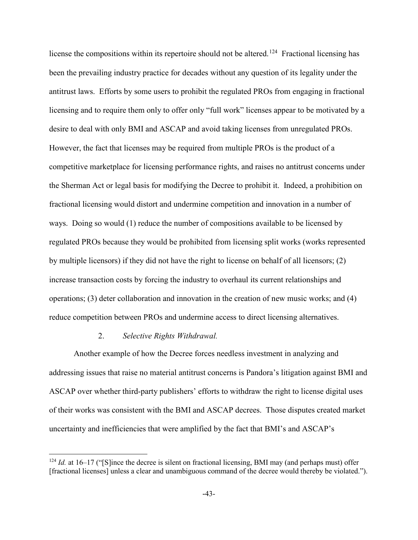license the compositions within its repertoire should not be altered.<sup>124</sup> Fractional licensing has been the prevailing industry practice for decades without any question of its legality under the antitrust laws. Efforts by some users to prohibit the regulated PROs from engaging in fractional licensing and to require them only to offer only "full work" licenses appear to be motivated by a desire to deal with only BMI and ASCAP and avoid taking licenses from unregulated PROs. However, the fact that licenses may be required from multiple PROs is the product of a competitive marketplace for licensing performance rights, and raises no antitrust concerns under the Sherman Act or legal basis for modifying the Decree to prohibit it. Indeed, a prohibition on fractional licensing would distort and undermine competition and innovation in a number of ways. Doing so would (1) reduce the number of compositions available to be licensed by regulated PROs because they would be prohibited from licensing split works (works represented by multiple licensors) if they did not have the right to license on behalf of all licensors; (2) increase transaction costs by forcing the industry to overhaul its current relationships and operations; (3) deter collaboration and innovation in the creation of new music works; and (4) reduce competition between PROs and undermine access to direct licensing alternatives.

#### 2. *Selective Rights Withdrawal.*

 $\overline{a}$ 

Another example of how the Decree forces needless investment in analyzing and addressing issues that raise no material antitrust concerns is Pandora's litigation against BMI and ASCAP over whether third-party publishers' efforts to withdraw the right to license digital uses of their works was consistent with the BMI and ASCAP decrees. Those disputes created market uncertainty and inefficiencies that were amplified by the fact that BMI's and ASCAP's

<span id="page-43-0"></span><sup>&</sup>lt;sup>124</sup> *Id.* at 16–17 ("Slince the decree is silent on fractional licensing, BMI may (and perhaps must) offer [fractional licenses] unless a clear and unambiguous command of the decree would thereby be violated.").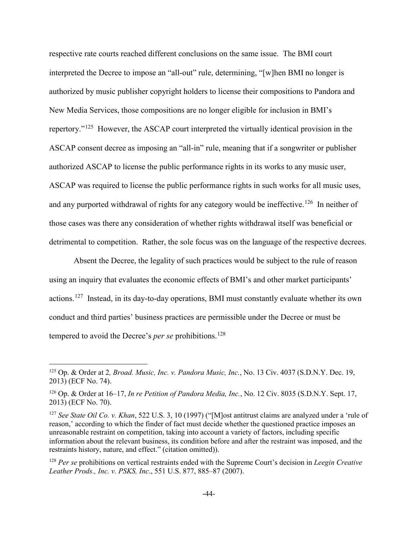respective rate courts reached different conclusions on the same issue. The BMI court interpreted the Decree to impose an "all-out" rule, determining, "[w]hen BMI no longer is authorized by music publisher copyright holders to license their compositions to Pandora and New Media Services, those compositions are no longer eligible for inclusion in BMI's repertory."[125](#page-44-0) However, the ASCAP court interpreted the virtually identical provision in the ASCAP consent decree as imposing an "all-in" rule, meaning that if a songwriter or publisher authorized ASCAP to license the public performance rights in its works to any music user, ASCAP was required to license the public performance rights in such works for all music uses, and any purported withdrawal of rights for any category would be ineffective.<sup>126</sup> In neither of those cases was there any consideration of whether rights withdrawal itself was beneficial or detrimental to competition. Rather, the sole focus was on the language of the respective decrees.

Absent the Decree, the legality of such practices would be subject to the rule of reason using an inquiry that evaluates the economic effects of BMI's and other market participants' actions.[127](#page-44-2) Instead, in its day-to-day operations, BMI must constantly evaluate whether its own conduct and third parties' business practices are permissible under the Decree or must be tempered to avoid the Decree's *per se* prohibitions.<sup>128</sup>

<span id="page-44-0"></span><sup>125</sup> Op. & Order at 2*, Broad. Music, Inc. v. Pandora Music, Inc.*, No. 13 Civ. 4037 (S.D.N.Y. Dec. 19, 2013) (ECF No. 74).

<span id="page-44-1"></span><sup>126</sup> Op. & Order at 16–17, *In re Petition of Pandora Media, Inc.*, No. 12 Civ. 8035 (S.D.N.Y. Sept. 17, 2013) (ECF No. 70).

<span id="page-44-2"></span><sup>127</sup> *See State Oil Co. v. Khan*, 522 U.S. 3, 10 (1997) ("[M]ost antitrust claims are analyzed under a 'rule of reason,' according to which the finder of fact must decide whether the questioned practice imposes an unreasonable restraint on competition, taking into account a variety of factors, including specific information about the relevant business, its condition before and after the restraint was imposed, and the restraints history, nature, and effect." (citation omitted)).

<span id="page-44-3"></span><sup>128</sup> *Per se* prohibitions on vertical restraints ended with the Supreme Court's decision in *Leegin Creative Leather Prods., Inc. v. PSKS, Inc*., 551 U.S. 877, 885–87 (2007).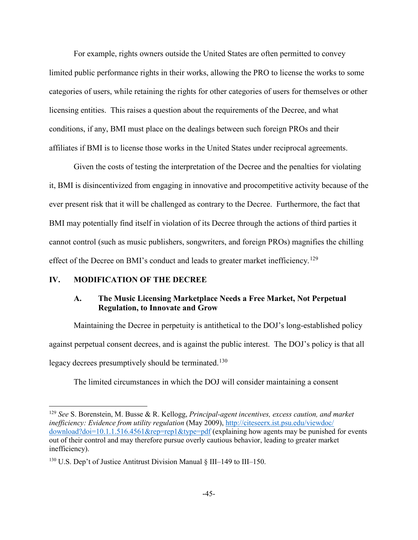For example, rights owners outside the United States are often permitted to convey limited public performance rights in their works, allowing the PRO to license the works to some categories of users, while retaining the rights for other categories of users for themselves or other licensing entities. This raises a question about the requirements of the Decree, and what conditions, if any, BMI must place on the dealings between such foreign PROs and their affiliates if BMI is to license those works in the United States under reciprocal agreements.

Given the costs of testing the interpretation of the Decree and the penalties for violating it, BMI is disincentivized from engaging in innovative and procompetitive activity because of the ever present risk that it will be challenged as contrary to the Decree. Furthermore, the fact that BMI may potentially find itself in violation of its Decree through the actions of third parties it cannot control (such as music publishers, songwriters, and foreign PROs) magnifies the chilling effect of the Decree on BMI's conduct and leads to greater market inefficiency.<sup>[129](#page-45-0)</sup>

### **IV. MODIFICATION OF THE DECREE**

 $\overline{a}$ 

# **A. The Music Licensing Marketplace Needs a Free Market, Not Perpetual Regulation, to Innovate and Grow**

Maintaining the Decree in perpetuity is antithetical to the DOJ's long-established policy against perpetual consent decrees, and is against the public interest. The DOJ's policy is that all legacy decrees presumptively should be terminated.<sup>[130](#page-45-1)</sup>

The limited circumstances in which the DOJ will consider maintaining a consent

<span id="page-45-0"></span><sup>129</sup> *See* S. Borenstein, M. Busse & R. Kellogg, *Principal-agent incentives, excess caution, and market inefficiency: Evidence from utility regulation* (May 2009), [http://citeseerx.ist.psu.edu/viewdoc/](http://citeseerx.ist.psu.edu/viewdoc/%20download?doi=10.1.1.516.4561&rep=rep1&type=pdf)  [download?doi=10.1.1.516.4561&rep=rep1&type=pdf](http://citeseerx.ist.psu.edu/viewdoc/%20download?doi=10.1.1.516.4561&rep=rep1&type=pdf) (explaining how agents may be punished for events out of their control and may therefore pursue overly cautious behavior, leading to greater market inefficiency).

<span id="page-45-1"></span><sup>&</sup>lt;sup>130</sup> U.S. Dep't of Justice Antitrust Division Manual § III–149 to III–150.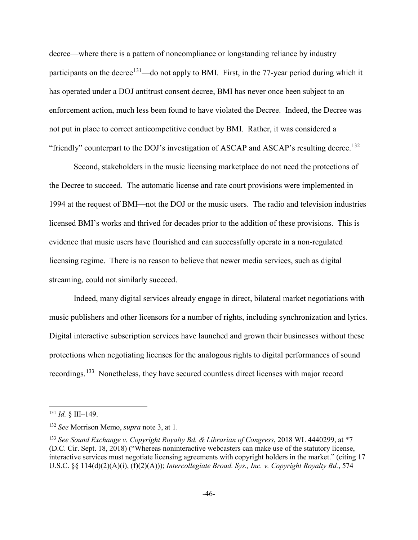decree—where there is a pattern of noncompliance or longstanding reliance by industry participants on the decree<sup>131</sup>—do not apply to BMI. First, in the 77-year period during which it has operated under a DOJ antitrust consent decree, BMI has never once been subject to an enforcement action, much less been found to have violated the Decree. Indeed, the Decree was not put in place to correct anticompetitive conduct by BMI. Rather, it was considered a "friendly" counterpart to the DOJ's investigation of ASCAP and ASCAP's resulting decree.<sup>[132](#page-46-1)</sup>

Second, stakeholders in the music licensing marketplace do not need the protections of the Decree to succeed. The automatic license and rate court provisions were implemented in 1994 at the request of BMI—not the DOJ or the music users. The radio and television industries licensed BMI's works and thrived for decades prior to the addition of these provisions. This is evidence that music users have flourished and can successfully operate in a non-regulated licensing regime. There is no reason to believe that newer media services, such as digital streaming, could not similarly succeed.

Indeed, many digital services already engage in direct, bilateral market negotiations with music publishers and other licensors for a number of rights, including synchronization and lyrics. Digital interactive subscription services have launched and grown their businesses without these protections when negotiating licenses for the analogous rights to digital performances of sound recordings.[133](#page-46-2) Nonetheless, they have secured countless direct licenses with major record

<span id="page-46-0"></span><sup>131</sup> *Id.* § III–149.

<span id="page-46-1"></span><sup>132</sup> *See* Morrison Memo, *supra* note 3, at 1.

<span id="page-46-2"></span><sup>133</sup> *See Sound Exchange v. Copyright Royalty Bd. & Librarian of Congress*, 2018 WL 4440299, at \*7 (D.C. Cir. Sept. 18, 2018) ("Whereas noninteractive webcasters can make use of the statutory license, interactive services must negotiate licensing agreements with copyright holders in the market." (citing 17 U.S.C. §§ 114(d)(2)(A)(i), (f)(2)(A))); *Intercollegiate Broad. Sys., Inc. v. Copyright Royalty Bd.*, 574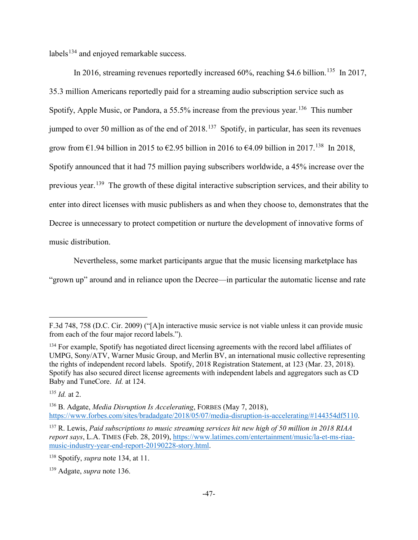labels<sup>134</sup> and enjoyed remarkable success.

In 2016, streaming revenues reportedly increased  $60\%$ , reaching \$4.6 billion.<sup>[135](#page-47-1)</sup> In 2017, 35.3 million Americans reportedly paid for a streaming audio subscription service such as Spotify, Apple Music, or Pandora, a 55.5% increase from the previous year.<sup>[136](#page-47-2)</sup> This number jumped to over 50 million as of the end of  $2018$ .<sup>[137](#page-47-3)</sup> Spotify, in particular, has seen its revenues grow from  $\epsilon$ 1.94 billion in 2015 to  $\epsilon$ 2.95 billion in 2016 to  $\epsilon$ 4.09 billion in 2017.<sup>[138](#page-47-4)</sup> In 2018, Spotify announced that it had 75 million paying subscribers worldwide, a 45% increase over the previous year.[139](#page-47-5) The growth of these digital interactive subscription services, and their ability to enter into direct licenses with music publishers as and when they choose to, demonstrates that the Decree is unnecessary to protect competition or nurture the development of innovative forms of music distribution.

Nevertheless, some market participants argue that the music licensing marketplace has "grown up" around and in reliance upon the Decree—in particular the automatic license and rate

F.3d 748, 758 (D.C. Cir. 2009) ("[A]n interactive music service is not viable unless it can provide music from each of the four major record labels.").

<span id="page-47-0"></span><sup>&</sup>lt;sup>134</sup> For example, Spotify has negotiated direct licensing agreements with the record label affiliates of UMPG, Sony/ATV, Warner Music Group, and Merlin BV, an international music collective representing the rights of independent record labels. Spotify, 2018 Registration Statement, at 123 (Mar. 23, 2018). Spotify has also secured direct license agreements with independent labels and aggregators such as CD Baby and TuneCore. *Id.* at 124.

<span id="page-47-1"></span><sup>135</sup> *Id.* at 2.

<span id="page-47-2"></span><sup>136</sup> B. Adgate, *Media Disruption Is Accelerating*, FORBES (May 7, 2018), [https://www.forbes.com/sites/bradadgate/2018/05/07/media-disruption-is-accelerating/#144354df5110.](https://www.forbes.com/sites/bradadgate/2018/05/07/media-disruption-is-accelerating/#144354df5110)

<span id="page-47-3"></span><sup>137</sup> R. Lewis, *Paid subscriptions to music streaming services hit new high of 50 million in 2018 RIAA report says*, L.A. TIMES (Feb. 28, 2019), [https://www.latimes.com/entertainment/music/la-et-ms-riaa](https://www.latimes.com/entertainment/music/la-et-ms-riaa-music-industry-year-end-report-20190228-story.html)[music-industry-year-end-report-20190228-story.html.](https://www.latimes.com/entertainment/music/la-et-ms-riaa-music-industry-year-end-report-20190228-story.html)

<span id="page-47-4"></span><sup>138</sup> Spotify, *supra* note 134, at 11.

<span id="page-47-5"></span><sup>139</sup> Adgate, *supra* note 136.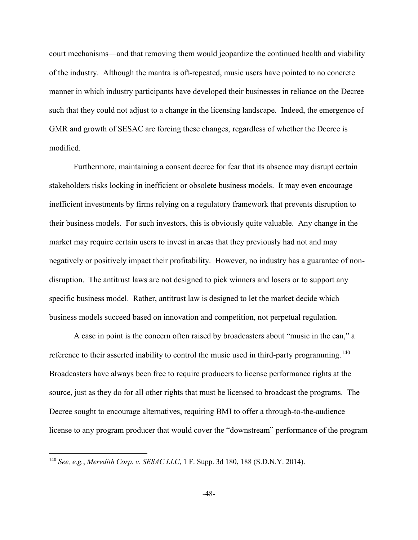court mechanisms—and that removing them would jeopardize the continued health and viability of the industry. Although the mantra is oft-repeated, music users have pointed to no concrete manner in which industry participants have developed their businesses in reliance on the Decree such that they could not adjust to a change in the licensing landscape. Indeed, the emergence of GMR and growth of SESAC are forcing these changes, regardless of whether the Decree is modified.

Furthermore, maintaining a consent decree for fear that its absence may disrupt certain stakeholders risks locking in inefficient or obsolete business models. It may even encourage inefficient investments by firms relying on a regulatory framework that prevents disruption to their business models. For such investors, this is obviously quite valuable. Any change in the market may require certain users to invest in areas that they previously had not and may negatively or positively impact their profitability. However, no industry has a guarantee of nondisruption. The antitrust laws are not designed to pick winners and losers or to support any specific business model. Rather, antitrust law is designed to let the market decide which business models succeed based on innovation and competition, not perpetual regulation.

A case in point is the concern often raised by broadcasters about "music in the can," a reference to their asserted inability to control the music used in third-party programming.<sup>[140](#page-48-0)</sup> Broadcasters have always been free to require producers to license performance rights at the source, just as they do for all other rights that must be licensed to broadcast the programs. The Decree sought to encourage alternatives, requiring BMI to offer a through-to-the-audience license to any program producer that would cover the "downstream" performance of the program

<span id="page-48-0"></span><sup>140</sup> *See, e.g.*, *Meredith Corp. v. SESAC LLC*, 1 F. Supp. 3d 180, 188 (S.D.N.Y. 2014).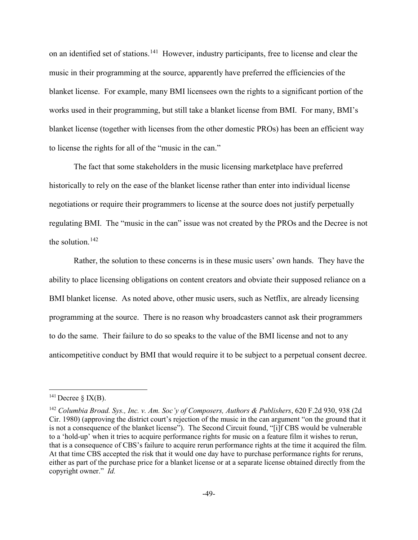on an identified set of stations.[141](#page-49-0) However, industry participants, free to license and clear the music in their programming at the source, apparently have preferred the efficiencies of the blanket license. For example, many BMI licensees own the rights to a significant portion of the works used in their programming, but still take a blanket license from BMI. For many, BMI's blanket license (together with licenses from the other domestic PROs) has been an efficient way to license the rights for all of the "music in the can."

The fact that some stakeholders in the music licensing marketplace have preferred historically to rely on the ease of the blanket license rather than enter into individual license negotiations or require their programmers to license at the source does not justify perpetually regulating BMI. The "music in the can" issue was not created by the PROs and the Decree is not the solution. $142$ 

Rather, the solution to these concerns is in these music users' own hands. They have the ability to place licensing obligations on content creators and obviate their supposed reliance on a BMI blanket license. As noted above, other music users, such as Netflix, are already licensing programming at the source. There is no reason why broadcasters cannot ask their programmers to do the same. Their failure to do so speaks to the value of the BMI license and not to any anticompetitive conduct by BMI that would require it to be subject to a perpetual consent decree.

<span id="page-49-0"></span> $141$  Decree § IX(B).

<span id="page-49-1"></span><sup>142</sup> *Columbia Broad. Sys., Inc. v. Am. Soc'y of Composers, Authors & Publishers*, 620 F.2d 930, 938 (2d Cir. 1980) (approving the district court's rejection of the music in the can argument "on the ground that it is not a consequence of the blanket license"). The Second Circuit found, "[i]f CBS would be vulnerable to a 'hold-up' when it tries to acquire performance rights for music on a feature film it wishes to rerun, that is a consequence of CBS's failure to acquire rerun performance rights at the time it acquired the film. At that time CBS accepted the risk that it would one day have to purchase performance rights for reruns, either as part of the purchase price for a blanket license or at a separate license obtained directly from the copyright owner." *Id.*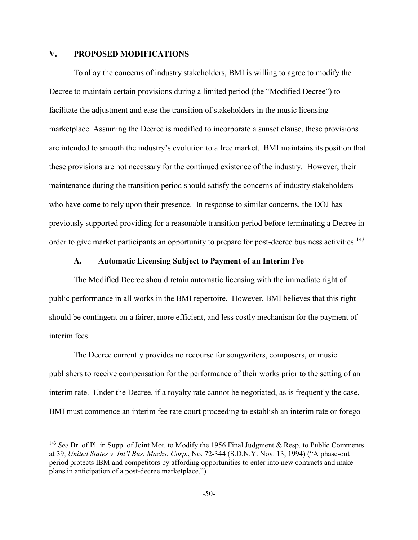### **V. PROPOSED MODIFICATIONS**

 $\overline{a}$ 

To allay the concerns of industry stakeholders, BMI is willing to agree to modify the Decree to maintain certain provisions during a limited period (the "Modified Decree") to facilitate the adjustment and ease the transition of stakeholders in the music licensing marketplace. Assuming the Decree is modified to incorporate a sunset clause, these provisions are intended to smooth the industry's evolution to a free market. BMI maintains its position that these provisions are not necessary for the continued existence of the industry. However, their maintenance during the transition period should satisfy the concerns of industry stakeholders who have come to rely upon their presence. In response to similar concerns, the DOJ has previously supported providing for a reasonable transition period before terminating a Decree in order to give market participants an opportunity to prepare for post-decree business activities.<sup>[143](#page-50-0)</sup>

### **A. Automatic Licensing Subject to Payment of an Interim Fee**

The Modified Decree should retain automatic licensing with the immediate right of public performance in all works in the BMI repertoire. However, BMI believes that this right should be contingent on a fairer, more efficient, and less costly mechanism for the payment of interim fees.

The Decree currently provides no recourse for songwriters, composers, or music publishers to receive compensation for the performance of their works prior to the setting of an interim rate. Under the Decree, if a royalty rate cannot be negotiated, as is frequently the case, BMI must commence an interim fee rate court proceeding to establish an interim rate or forego

<span id="page-50-0"></span><sup>143</sup> *See* Br. of Pl. in Supp. of Joint Mot. to Modify the 1956 Final Judgment & Resp. to Public Comments at 39, *United States v. Int'l Bus. Machs. Corp.*, No. 72-344 (S.D.N.Y. Nov. 13, 1994) ("A phase-out period protects IBM and competitors by affording opportunities to enter into new contracts and make plans in anticipation of a post-decree marketplace.")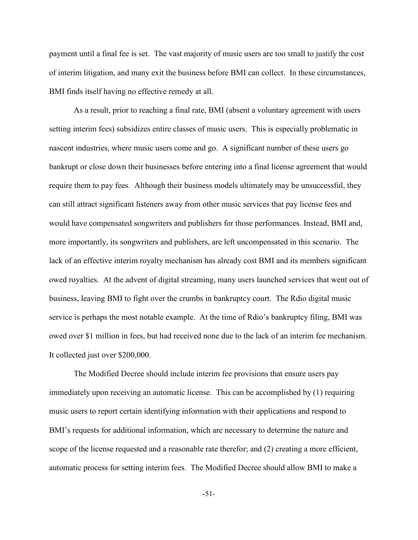payment until a final fee is set. The vast majority of music users are too small to justify the cost of interim litigation, and many exit the business before BMI can collect. In these circumstances, BMI finds itself having no effective remedy at all.

As a result, prior to reaching a final rate, BMI (absent a voluntary agreement with users setting interim fees) subsidizes entire classes of music users. This is especially problematic in nascent industries, where music users come and go. A significant number of these users go bankrupt or close down their businesses before entering into a final license agreement that would require them to pay fees. Although their business models ultimately may be unsuccessful, they can still attract significant listeners away from other music services that pay license fees and would have compensated songwriters and publishers for those performances. Instead, BMI and, more importantly, its songwriters and publishers, are left uncompensated in this scenario. The lack of an effective interim royalty mechanism has already cost BMI and its members significant owed royalties. At the advent of digital streaming, many users launched services that went out of business, leaving BMI to fight over the crumbs in bankruptcy court. The Rdio digital music service is perhaps the most notable example. At the time of Rdio's bankruptcy filing, BMI was owed over \$1 million in fees, but had received none due to the lack of an interim fee mechanism. It collected just over \$200,000.

The Modified Decree should include interim fee provisions that ensure users pay immediately upon receiving an automatic license. This can be accomplished by (1) requiring music users to report certain identifying information with their applications and respond to BMI's requests for additional information, which are necessary to determine the nature and scope of the license requested and a reasonable rate therefor; and (2) creating a more efficient, automatic process for setting interim fees. The Modified Decree should allow BMI to make a

-51-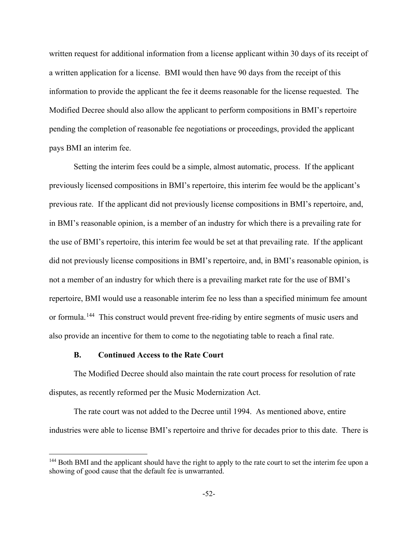written request for additional information from a license applicant within 30 days of its receipt of a written application for a license. BMI would then have 90 days from the receipt of this information to provide the applicant the fee it deems reasonable for the license requested. The Modified Decree should also allow the applicant to perform compositions in BMI's repertoire pending the completion of reasonable fee negotiations or proceedings, provided the applicant pays BMI an interim fee.

Setting the interim fees could be a simple, almost automatic, process. If the applicant previously licensed compositions in BMI's repertoire, this interim fee would be the applicant's previous rate. If the applicant did not previously license compositions in BMI's repertoire, and, in BMI's reasonable opinion, is a member of an industry for which there is a prevailing rate for the use of BMI's repertoire, this interim fee would be set at that prevailing rate. If the applicant did not previously license compositions in BMI's repertoire, and, in BMI's reasonable opinion, is not a member of an industry for which there is a prevailing market rate for the use of BMI's repertoire, BMI would use a reasonable interim fee no less than a specified minimum fee amount or formula.<sup>144</sup> This construct would prevent free-riding by entire segments of music users and also provide an incentive for them to come to the negotiating table to reach a final rate.

### **B. Continued Access to the Rate Court**

 $\overline{a}$ 

The Modified Decree should also maintain the rate court process for resolution of rate disputes, as recently reformed per the Music Modernization Act.

The rate court was not added to the Decree until 1994. As mentioned above, entire industries were able to license BMI's repertoire and thrive for decades prior to this date. There is

<span id="page-52-0"></span><sup>&</sup>lt;sup>144</sup> Both BMI and the applicant should have the right to apply to the rate court to set the interim fee upon a showing of good cause that the default fee is unwarranted.